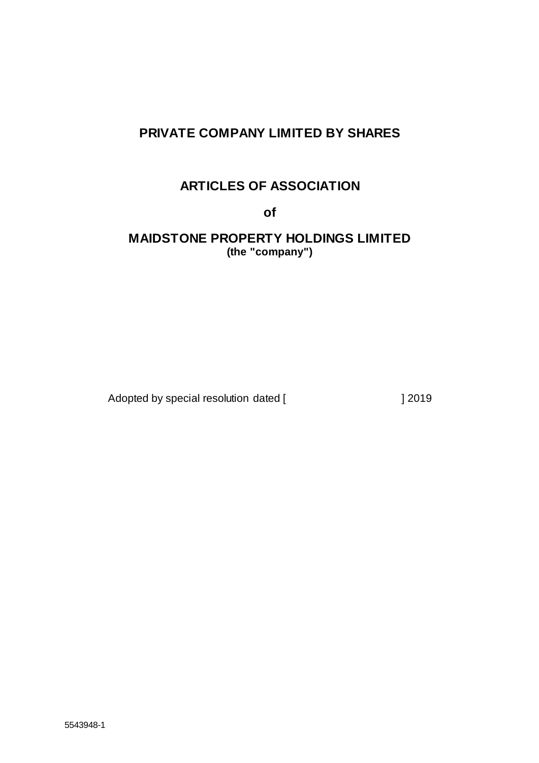# **PRIVATE COMPANY LIMITED BY SHARES**

# **ARTICLES OF ASSOCIATION**

**of**

**MAIDSTONE PROPERTY HOLDINGS LIMITED (the "company")**

Adopted by special resolution dated [  $\qquad$  ] 2019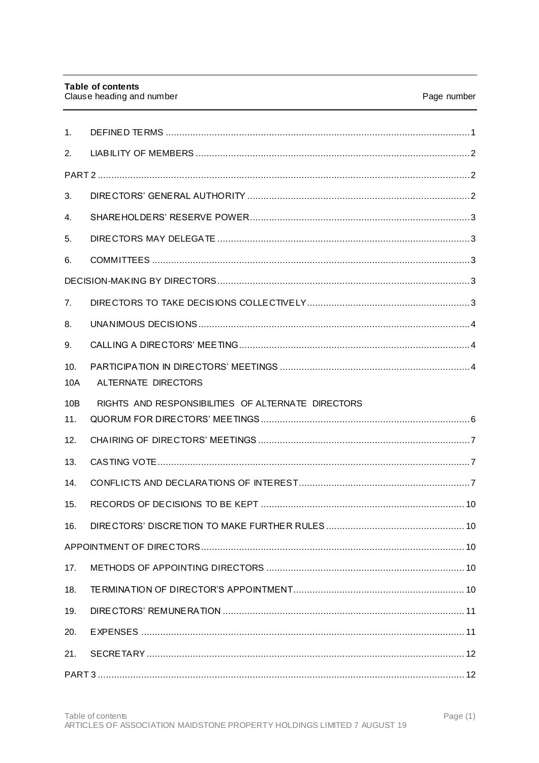| 1 <sub>1</sub> |                                                    |  |  |  |
|----------------|----------------------------------------------------|--|--|--|
| 2.             |                                                    |  |  |  |
|                |                                                    |  |  |  |
| 3.             |                                                    |  |  |  |
| 4.             |                                                    |  |  |  |
| 5.             |                                                    |  |  |  |
| 6.             |                                                    |  |  |  |
|                |                                                    |  |  |  |
| $7_{\cdot}$    |                                                    |  |  |  |
| 8.             |                                                    |  |  |  |
| 9.             |                                                    |  |  |  |
| 10.<br>10A     | ALTERNATE DIRECTORS                                |  |  |  |
| 10B<br>11.     | RIGHTS AND RESPONSIBILITIES OF ALTERNATE DIRECTORS |  |  |  |
| 12.            |                                                    |  |  |  |
| 13.            |                                                    |  |  |  |
| 14.            |                                                    |  |  |  |
| 15.            |                                                    |  |  |  |
| 16.            | DIRECTORS' DISCRETION TO MAKE FURTHER RULES<br>10. |  |  |  |
|                |                                                    |  |  |  |
| 17.            |                                                    |  |  |  |
| 18.            |                                                    |  |  |  |
| 19.            |                                                    |  |  |  |
| 20.            |                                                    |  |  |  |
| 21.            |                                                    |  |  |  |
|                |                                                    |  |  |  |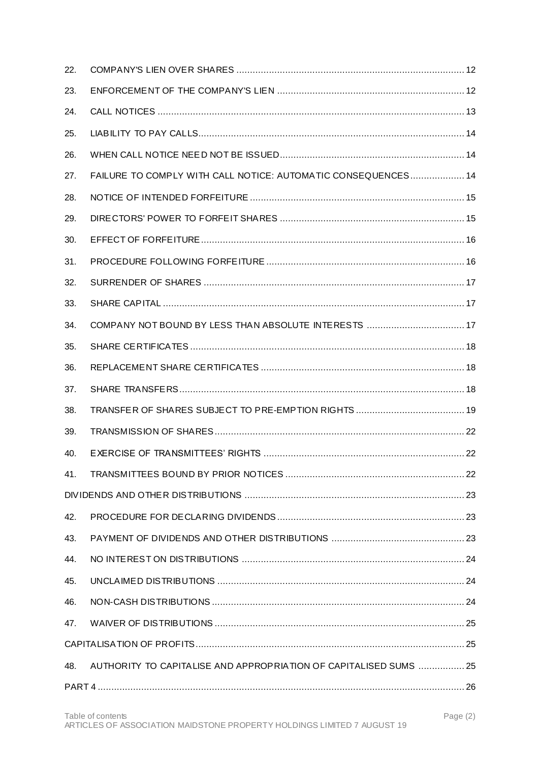| 22. |                                                                  |  |  |  |
|-----|------------------------------------------------------------------|--|--|--|
| 23. |                                                                  |  |  |  |
| 24. |                                                                  |  |  |  |
| 25. |                                                                  |  |  |  |
| 26. |                                                                  |  |  |  |
| 27. | FAILURE TO COMPLY WITH CALL NOTICE: AUTOMATIC CONSEQUENCES 14    |  |  |  |
| 28. |                                                                  |  |  |  |
| 29. |                                                                  |  |  |  |
| 30. |                                                                  |  |  |  |
| 31. |                                                                  |  |  |  |
| 32. |                                                                  |  |  |  |
| 33. |                                                                  |  |  |  |
| 34. |                                                                  |  |  |  |
| 35. |                                                                  |  |  |  |
| 36. |                                                                  |  |  |  |
| 37. |                                                                  |  |  |  |
| 38. |                                                                  |  |  |  |
| 39. |                                                                  |  |  |  |
| 40. |                                                                  |  |  |  |
| 41. |                                                                  |  |  |  |
|     |                                                                  |  |  |  |
| 42. |                                                                  |  |  |  |
| 43. |                                                                  |  |  |  |
| 44. |                                                                  |  |  |  |
| 45. |                                                                  |  |  |  |
| 46. |                                                                  |  |  |  |
| 47. |                                                                  |  |  |  |
|     |                                                                  |  |  |  |
| 48. | AUTHORITY TO CAPITALISE AND APPROPRIATION OF CAPITALISED SUMS 25 |  |  |  |
|     |                                                                  |  |  |  |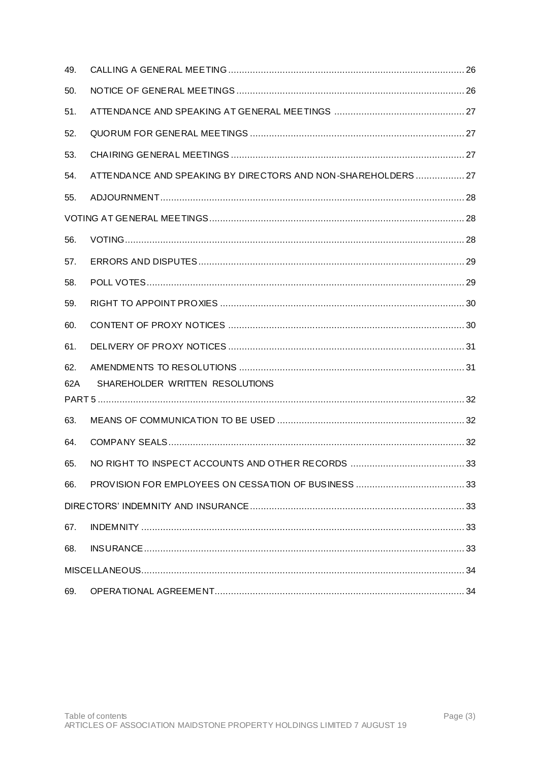| 49. |                                                              |  |  |
|-----|--------------------------------------------------------------|--|--|
| 50. |                                                              |  |  |
| 51. |                                                              |  |  |
| 52. |                                                              |  |  |
| 53. |                                                              |  |  |
| 54. | ATTENDANCE AND SPEAKING BY DIRECTORS AND NON-SHAREHOLDERS 27 |  |  |
| 55. |                                                              |  |  |
|     |                                                              |  |  |
| 56. |                                                              |  |  |
| 57. |                                                              |  |  |
| 58. |                                                              |  |  |
| 59. |                                                              |  |  |
| 60. |                                                              |  |  |
| 61. |                                                              |  |  |
| 62. |                                                              |  |  |
| 62A | SHAREHOLDER WRITTEN RESOLUTIONS                              |  |  |
| 63. |                                                              |  |  |
| 64. |                                                              |  |  |
| 65. |                                                              |  |  |
| 66. |                                                              |  |  |
|     |                                                              |  |  |
|     |                                                              |  |  |
| 67. |                                                              |  |  |
| 68. |                                                              |  |  |
|     |                                                              |  |  |
| 69. |                                                              |  |  |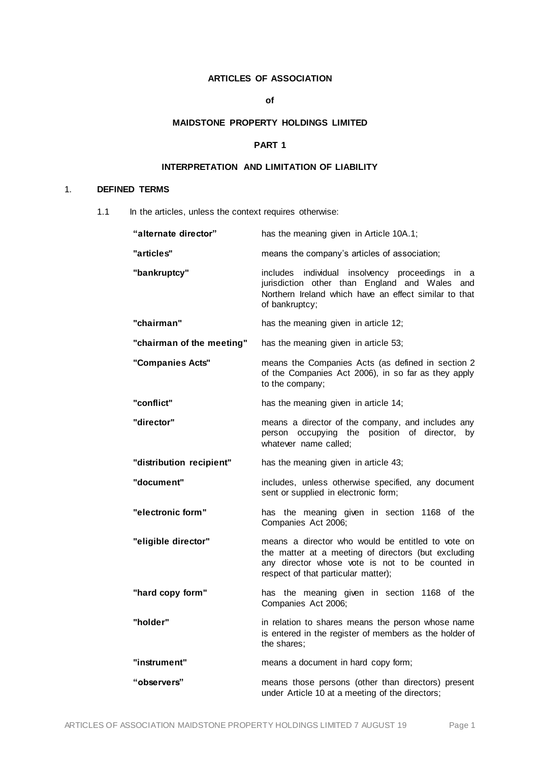# **ARTICLES OF ASSOCIATION**

# **of**

## **MAIDSTONE PROPERTY HOLDINGS LIMITED**

# **PART 1**

# **INTERPRETATION AND LIMITATION OF LIABILITY**

# 1. **DEFINED TERMS**

1.1 In the articles, unless the context requires otherwise:

| "alternate director"      | has the meaning given in Article 10A.1;                                                                                                                                                            |
|---------------------------|----------------------------------------------------------------------------------------------------------------------------------------------------------------------------------------------------|
| "articles"                | means the company's articles of association;                                                                                                                                                       |
| "bankruptcy"              | includes individual insolvency proceedings in a<br>jurisdiction other than England and Wales and<br>Northern Ireland which have an effect similar to that<br>of bankruptcy;                        |
| "chairman"                | has the meaning given in article 12;                                                                                                                                                               |
| "chairman of the meeting" | has the meaning given in article 53;                                                                                                                                                               |
| "Companies Acts"          | means the Companies Acts (as defined in section 2<br>of the Companies Act 2006), in so far as they apply<br>to the company;                                                                        |
| "conflict"                | has the meaning given in article 14;                                                                                                                                                               |
| "director"                | means a director of the company, and includes any<br>person occupying the position of director,<br>by<br>whatever name called;                                                                     |
| "distribution recipient"  | has the meaning given in article 43;                                                                                                                                                               |
| "document"                | includes, unless otherwise specified, any document<br>sent or supplied in electronic form;                                                                                                         |
| "electronic form"         | has the meaning given in section 1168 of the<br>Companies Act 2006;                                                                                                                                |
| "eligible director"       | means a director who would be entitled to vote on<br>the matter at a meeting of directors (but excluding<br>any director whose vote is not to be counted in<br>respect of that particular matter); |
| "hard copy form"          | has the meaning given in section 1168 of the<br>Companies Act 2006;                                                                                                                                |
| "holder"                  | in relation to shares means the person whose name<br>is entered in the register of members as the holder of<br>the shares;                                                                         |
| "instrument"              | means a document in hard copy form;                                                                                                                                                                |
| "observers"               | means those persons (other than directors) present<br>under Article 10 at a meeting of the directors;                                                                                              |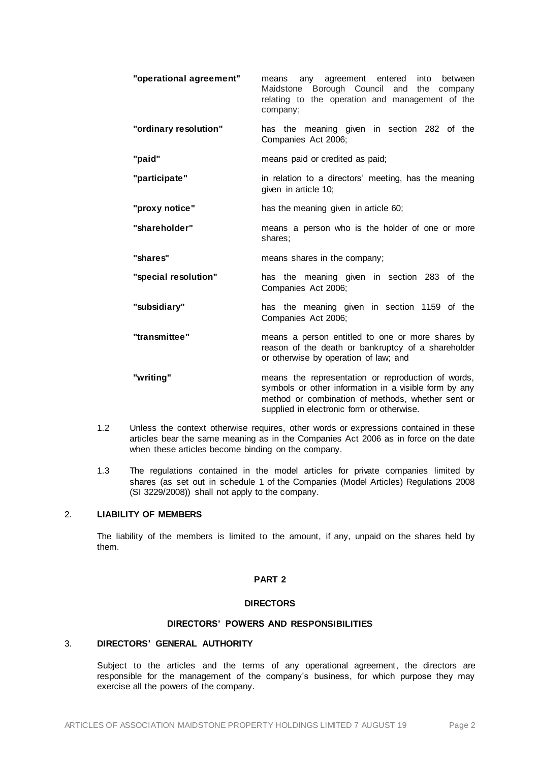| "operational agreement" | any agreement entered<br>into between<br>means<br>Borough Council and<br>Maidstone<br>the company<br>relating to the operation and management of the<br>company;                                              |
|-------------------------|---------------------------------------------------------------------------------------------------------------------------------------------------------------------------------------------------------------|
| "ordinary resolution"   | has the meaning given in section 282 of the<br>Companies Act 2006;                                                                                                                                            |
| "paid"                  | means paid or credited as paid;                                                                                                                                                                               |
| "participate"           | in relation to a directors' meeting, has the meaning<br>given in article 10;                                                                                                                                  |
| "proxy notice"          | has the meaning given in article 60;                                                                                                                                                                          |
| "shareholder"           | means a person who is the holder of one or more<br>shares;                                                                                                                                                    |
| "shares"                | means shares in the company;                                                                                                                                                                                  |
| "special resolution"    | has the meaning given in section 283 of the<br>Companies Act 2006;                                                                                                                                            |
| "subsidiary"            | has the meaning given in section 1159 of the<br>Companies Act 2006;                                                                                                                                           |
| "transmittee"           | means a person entitled to one or more shares by<br>reason of the death or bankruptcy of a shareholder<br>or otherwise by operation of law; and                                                               |
| "writing"               | means the representation or reproduction of words,<br>symbols or other information in a visible form by any<br>method or combination of methods, whether sent or<br>supplied in electronic form or otherwise. |

- 1.2 Unless the context otherwise requires, other words or expressions contained in these articles bear the same meaning as in the Companies Act 2006 as in force on the date when these articles become binding on the company.
- 1.3 The regulations contained in the model articles for private companies limited by shares (as set out in schedule 1 of the Companies (Model Articles) Regulations 2008 (SI 3229/2008)) shall not apply to the company.

## 2. **LIABILITY OF MEMBERS**

The liability of the members is limited to the amount, if any, unpaid on the shares held by them.

## **PART 2**

# **DIRECTORS**

# **DIRECTORS' POWERS AND RESPONSIBILITIES**

# 3. **DIRECTORS' GENERAL AUTHORITY**

Subject to the articles and the terms of any operational agreement, the directors are responsible for the management of the company's business, for which purpose they may exercise all the powers of the company.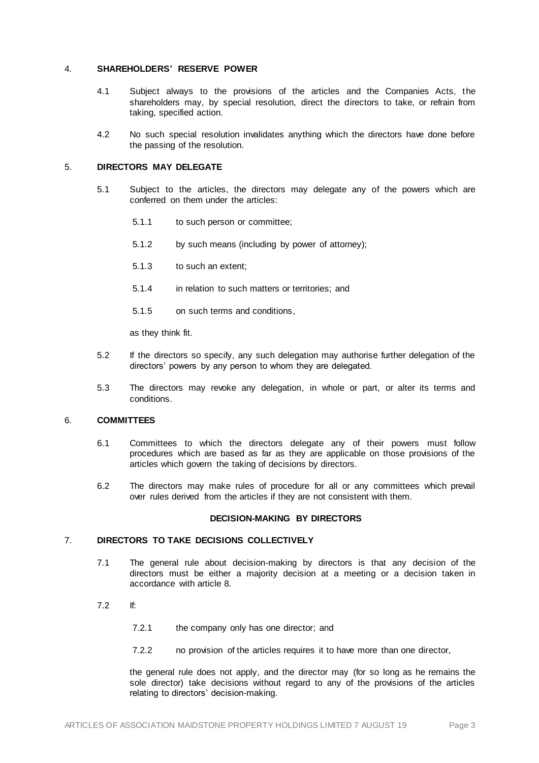#### 4. **SHAREHOLDERS' RESERVE POWER**

- 4.1 Subject always to the provisions of the articles and the Companies Acts, the shareholders may, by special resolution, direct the directors to take, or refrain from taking, specified action.
- 4.2 No such special resolution invalidates anything which the directors have done before the passing of the resolution.

# 5. **DIRECTORS MAY DELEGATE**

- 5.1 Subject to the articles, the directors may delegate any of the powers which are conferred on them under the articles:
	- 5.1.1 to such person or committee;
	- 5.1.2 by such means (including by power of attorney);
	- 5.1.3 to such an extent;
	- 5.1.4 in relation to such matters or territories; and
	- 5.1.5 on such terms and conditions,

as they think fit.

- 5.2 If the directors so specify, any such delegation may authorise further delegation of the directors' powers by any person to whom they are delegated.
- 5.3 The directors may revoke any delegation, in whole or part, or alter its terms and conditions.

## 6. **COMMITTEES**

- 6.1 Committees to which the directors delegate any of their powers must follow procedures which are based as far as they are applicable on those provisions of the articles which govern the taking of decisions by directors.
- 6.2 The directors may make rules of procedure for all or any committees which prevail over rules derived from the articles if they are not consistent with them.

#### **DECISION-MAKING BY DIRECTORS**

## 7. **DIRECTORS TO TAKE DECISIONS COLLECTIVELY**

- 7.1 The general rule about decision-making by directors is that any decision of the directors must be either a majority decision at a meeting or a decision taken in accordance with article [8.](#page-7-1)
- <span id="page-6-0"></span>7.2 If:
	- 7.2.1 the company only has one director; and
	- 7.2.2 no provision of the articles requires it to have more than one director,

the general rule does not apply, and the director may (for so long as he remains the sole director) take decisions without regard to any of the provisions of the articles relating to directors' decision-making.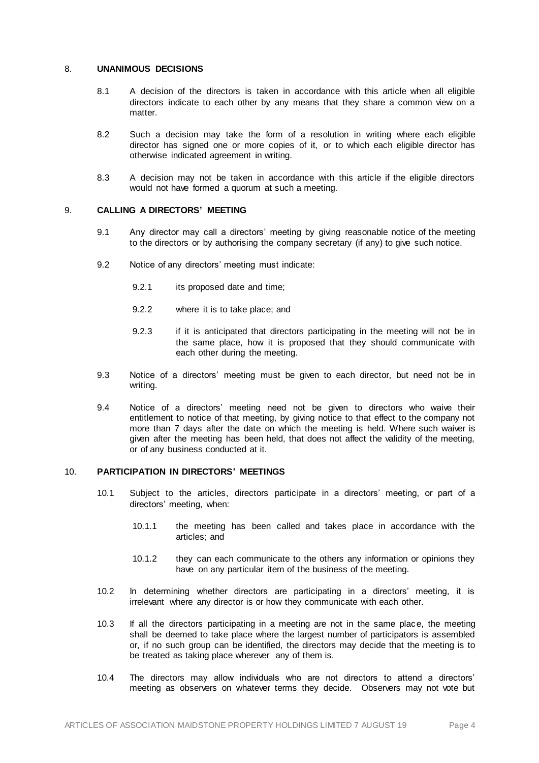## <span id="page-7-1"></span>8. **UNANIMOUS DECISIONS**

- 8.1 A decision of the directors is taken in accordance with this article when all eligible directors indicate to each other by any means that they share a common view on a matter.
- 8.2 Such a decision may take the form of a resolution in writing where each eligible director has signed one or more copies of it, or to which each eligible director has otherwise indicated agreement in writing.
- 8.3 A decision may not be taken in accordance with this article if the eligible directors would not have formed a quorum at such a meeting.

# 9. **CALLING A DIRECTORS' MEETING**

- 9.1 Any director may call a directors' meeting by giving reasonable notice of the meeting to the directors or by authorising the company secretary (if any) to give such notice.
- 9.2 Notice of any directors' meeting must indicate:
	- 9.2.1 its proposed date and time;
	- 9.2.2 where it is to take place; and
	- 9.2.3 if it is anticipated that directors participating in the meeting will not be in the same place, how it is proposed that they should communicate with each other during the meeting.
- 9.3 Notice of a directors' meeting must be given to each director, but need not be in writing.
- 9.4 Notice of a directors' meeting need not be given to directors who waive their entitlement to notice of that meeting, by giving notice to that effect to the company not more than 7 days after the date on which the meeting is held. Where such waiver is given after the meeting has been held, that does not affect the validity of the meeting, or of any business conducted at it.

## <span id="page-7-0"></span>10. **PARTICIPATION IN DIRECTORS' MEETINGS**

- 10.1 Subject to the articles, directors participate in a directors' meeting, or part of a directors' meeting, when:
	- 10.1.1 the meeting has been called and takes place in accordance with the articles; and
	- 10.1.2 they can each communicate to the others any information or opinions they have on any particular item of the business of the meeting.
- 10.2 In determining whether directors are participating in a directors' meeting, it is irrelevant where any director is or how they communicate with each other.
- 10.3 If all the directors participating in a meeting are not in the same place, the meeting shall be deemed to take place where the largest number of participators is assembled or, if no such group can be identified, the directors may decide that the meeting is to be treated as taking place wherever any of them is.
- 10.4 The directors may allow individuals who are not directors to attend a directors' meeting as observers on whatever terms they decide. Observers may not vote but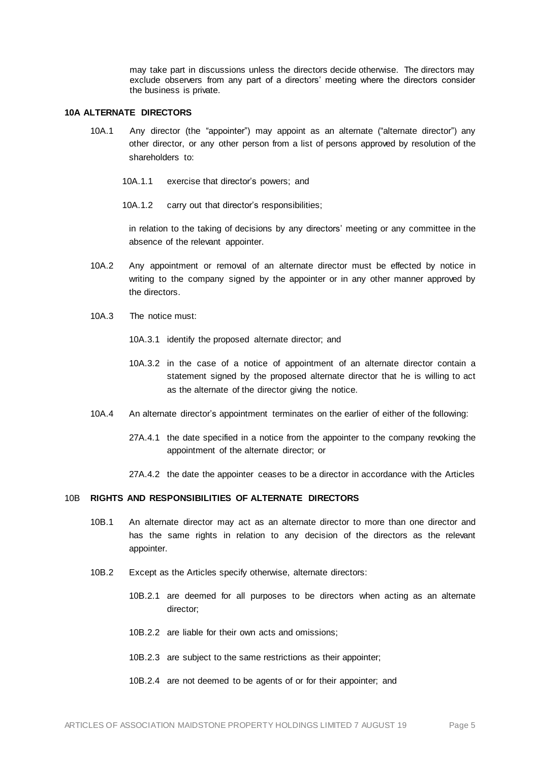may take part in discussions unless the directors decide otherwise. The directors may exclude observers from any part of a directors' meeting where the directors consider the business is private.

#### **10A ALTERNATE DIRECTORS**

- 10A.1 Any director (the "appointer") may appoint as an alternate ("alternate director") any other director, or any other person from a list of persons approved by resolution of the shareholders to:
	- 10A.1.1 exercise that director's powers; and
	- 10A.1.2 carry out that director's responsibilities;

in relation to the taking of decisions by any directors' meeting or any committee in the absence of the relevant appointer.

- 10A.2 Any appointment or removal of an alternate director must be effected by notice in writing to the company signed by the appointer or in any other manner approved by the directors.
- 10A.3 The notice must:
	- 10A.3.1 identify the proposed alternate director; and
	- 10A.3.2 in the case of a notice of appointment of an alternate director contain a statement signed by the proposed alternate director that he is willing to act as the alternate of the director giving the notice.
- 10A.4 An alternate director's appointment terminates on the earlier of either of the following:
	- 27A.4.1 the date specified in a notice from the appointer to the company revoking the appointment of the alternate director; or
	- 27A.4.2 the date the appointer ceases to be a director in accordance with the Articles

# 10B **RIGHTS AND RESPONSIBILITIES OF ALTERNATE DIRECTORS**

- 10B.1 An alternate director may act as an alternate director to more than one director and has the same rights in relation to any decision of the directors as the relevant appointer.
- 10B.2 Except as the Articles specify otherwise, alternate directors:
	- 10B.2.1 are deemed for all purposes to be directors when acting as an alternate director;
	- 10B.2.2 are liable for their own acts and omissions;
	- 10B.2.3 are subject to the same restrictions as their appointer;
	- 10B.2.4 are not deemed to be agents of or for their appointer; and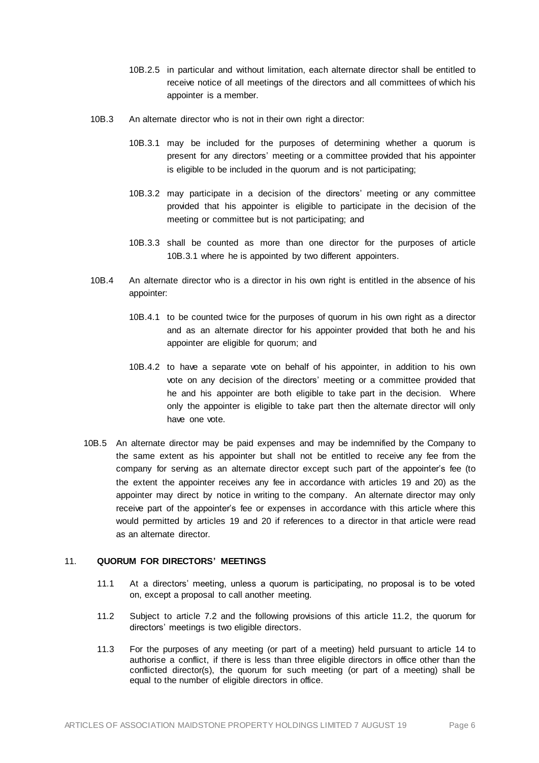- 10B.2.5 in particular and without limitation, each alternate director shall be entitled to receive notice of all meetings of the directors and all committees of which his appointer is a member.
- 10B.3 An alternate director who is not in their own right a director:
	- 10B.3.1 may be included for the purposes of determining whether a quorum is present for any directors' meeting or a committee provided that his appointer is eligible to be included in the quorum and is not participating;
	- 10B.3.2 may participate in a decision of the directors' meeting or any committee provided that his appointer is eligible to participate in the decision of the meeting or committee but is not participating; and
	- 10B.3.3 shall be counted as more than one director for the purposes of article 10B.3.1 where he is appointed by two different appointers.
- 10B.4 An alternate director who is a director in his own right is entitled in the absence of his appointer:
	- 10B.4.1 to be counted twice for the purposes of quorum in his own right as a director and as an alternate director for his appointer provided that both he and his appointer are eligible for quorum; and
	- 10B.4.2 to have a separate vote on behalf of his appointer, in addition to his own vote on any decision of the directors' meeting or a committee provided that he and his appointer are both eligible to take part in the decision. Where only the appointer is eligible to take part then the alternate director will only have one vote.
- 10B.5 An alternate director may be paid expenses and may be indemnified by the Company to the same extent as his appointer but shall not be entitled to receive any fee from the company for serving as an alternate director except such part of the appointer's fee (to the extent the appointer receives any fee in accordance with articles 19 and 20) as the appointer may direct by notice in writing to the company. An alternate director may only receive part of the appointer's fee or expenses in accordance with this article where this would permitted by articles 19 and 20 if references to a director in that article were read as an alternate director.

# 11. **QUORUM FOR DIRECTORS' MEETINGS**

- 11.1 At a directors' meeting, unless a quorum is participating, no proposal is to be voted on, except a proposal to call another meeting.
- 11.2 Subject to articl[e 7.2](#page-6-0) and the following provisions of this article 11.2, the quorum for directors' meetings is two eligible directors.
- 11.3 For the purposes of any meeting (or part of a meeting) held pursuant to article [14](#page-10-1) to authorise a conflict, if there is less than three eligible directors in office other than the conflicted director(s), the quorum for such meeting (or part of a meeting) shall be equal to the number of eligible directors in office.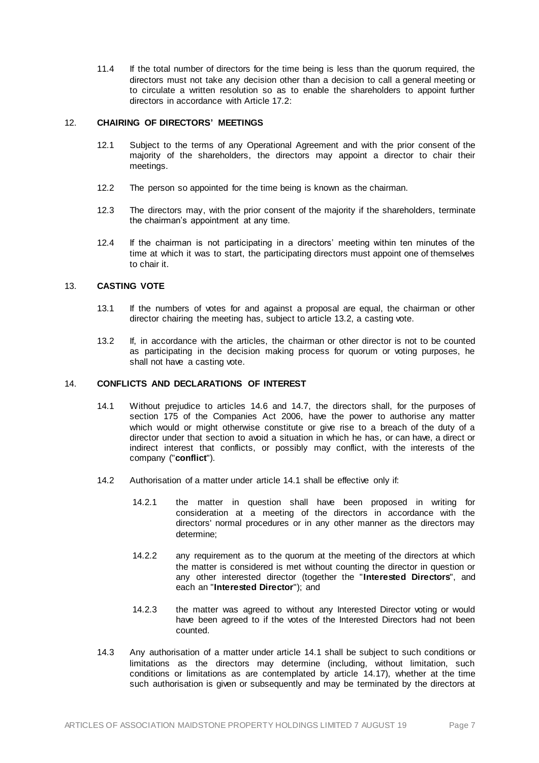11.4 If the total number of directors for the time being is less than the quorum required, the directors must not take any decision other than a decision to call a general meeting or to circulate a written resolution so as to enable the shareholders to appoint further directors in accordance with Article 17.2:

## <span id="page-10-0"></span>12. **CHAIRING OF DIRECTORS' MEETINGS**

- 12.1 Subject to the terms of any Operational Agreement and with the prior consent of the majority of the shareholders, the directors may appoint a director to chair their meetings.
- 12.2 The person so appointed for the time being is known as the chairman.
- 12.3 The directors may, with the prior consent of the majority if the shareholders, terminate the chairman's appointment at any time.
- 12.4 If the chairman is not participating in a directors' meeting within ten minutes of the time at which it was to start, the participating directors must appoint one of themselves to chair it.

# 13. **CASTING VOTE**

- 13.1 If the numbers of votes for and against a proposal are equal, the chairman or other director chairing the meeting has, subject to articl[e 13.2,](#page-10-2) a casting vote.
- <span id="page-10-2"></span>13.2 If, in accordance with the articles, the chairman or other director is not to be counted as participating in the decision making process for quorum or voting purposes, he shall not have a casting vote.

## <span id="page-10-3"></span><span id="page-10-1"></span>14. **CONFLICTS AND DECLARATIONS OF INTEREST**

- 14.1 Without prejudice to articles [14.6](#page-11-0) and [14.7,](#page-11-1) the directors shall, for the purposes of section 175 of the Companies Act 2006, have the power to authorise any matter which would or might otherwise constitute or give rise to a breach of the duty of a director under that section to avoid a situation in which he has, or can have, a direct or indirect interest that conflicts, or possibly may conflict, with the interests of the company ("**conflict**").
- 14.2 Authorisation of a matter under article [14.1](#page-10-3) shall be effective only if:
	- 14.2.1 the matter in question shall have been proposed in writing for consideration at a meeting of the directors in accordance with the directors' normal procedures or in any other manner as the directors may determine;
	- 14.2.2 any requirement as to the quorum at the meeting of the directors at which the matter is considered is met without counting the director in question or any other interested director (together the "**Interested Directors**", and each an "**Interested Director**"); and
	- 14.2.3 the matter was agreed to without any Interested Director voting or would have been agreed to if the votes of the Interested Directors had not been counted.
- <span id="page-10-4"></span>14.3 Any authorisation of a matter under article [14.1](#page-10-3) shall be subject to such conditions or limitations as the directors may determine (including, without limitation, such conditions or limitations as are contemplated by article [14.17\)](#page-12-0), whether at the time such authorisation is given or subsequently and may be terminated by the directors at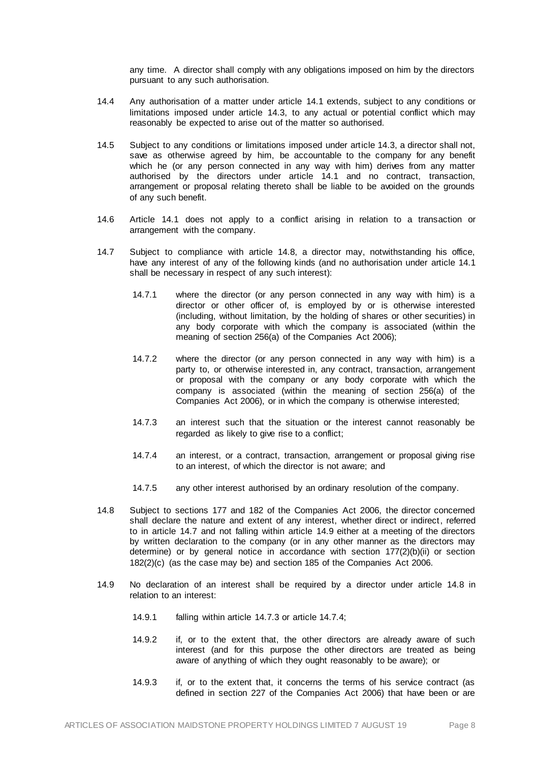any time. A director shall comply with any obligations imposed on him by the directors pursuant to any such authorisation.

- 14.4 Any authorisation of a matter under article [14.1](#page-10-3) extends, subject to any conditions or limitations imposed under article [14.3,](#page-10-4) to any actual or potential conflict which may reasonably be expected to arise out of the matter so authorised.
- 14.5 Subject to any conditions or limitations imposed under articl[e 14.3](#page-10-4), a director shall not, save as otherwise agreed by him, be accountable to the company for any benefit which he (or any person connected in any way with him) derives from any matter authorised by the directors under article [14.1](#page-10-3) and no contract, transaction, arrangement or proposal relating thereto shall be liable to be avoided on the grounds of any such benefit.
- <span id="page-11-0"></span>14.6 Article [14.1](#page-10-3) does not apply to a conflict arising in relation to a transaction or arrangement with the company.
- <span id="page-11-1"></span>14.7 Subject to compliance with articl[e 14.8](#page-11-2), a director may, notwithstanding his office, have any interest of any of the following kinds (and no authorisation under articl[e 14.1](#page-10-3) shall be necessary in respect of any such interest):
	- 14.7.1 where the director (or any person connected in any way with him) is a director or other officer of, is employed by or is otherwise interested (including, without limitation, by the holding of shares or other securities) in any body corporate with which the company is associated (within the meaning of section 256(a) of the Companies Act 2006);
	- 14.7.2 where the director (or any person connected in any way with him) is a party to, or otherwise interested in, any contract, transaction, arrangement or proposal with the company or any body corporate with which the company is associated (within the meaning of section 256(a) of the Companies Act 2006), or in which the company is otherwise interested;
	- 14.7.3 an interest such that the situation or the interest cannot reasonably be regarded as likely to give rise to a conflict;
	- 14.7.4 an interest, or a contract, transaction, arrangement or proposal giving rise to an interest, of which the director is not aware; and
	- 14.7.5 any other interest authorised by an ordinary resolution of the company.
- <span id="page-11-5"></span><span id="page-11-4"></span><span id="page-11-2"></span>14.8 Subject to sections 177 and 182 of the Companies Act 2006, the director concerned shall declare the nature and extent of any interest, whether direct or indirect, referred to in articl[e 14.7](#page-11-1) and not falling within articl[e 14.9](#page-11-3) either at a meeting of the directors by written declaration to the company (or in any other manner as the directors may determine) or by general notice in accordance with section 177(2)(b)(ii) or section 182(2)(c) (as the case may be) and section 185 of the Companies Act 2006.
- <span id="page-11-3"></span>14.9 No declaration of an interest shall be required by a director under article [14.8](#page-11-2) in relation to an interest:
	- 14.9.1 falling within article [14.7.3](#page-11-4) or article [14.7.4;](#page-11-5)
	- 14.9.2 if, or to the extent that, the other directors are already aware of such interest (and for this purpose the other directors are treated as being aware of anything of which they ought reasonably to be aware); or
	- 14.9.3 if, or to the extent that, it concerns the terms of his service contract (as defined in section 227 of the Companies Act 2006) that have been or are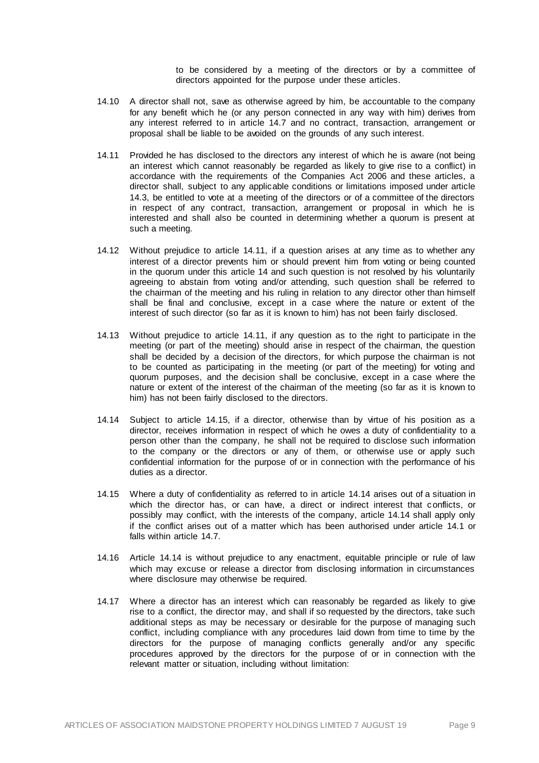to be considered by a meeting of the directors or by a committee of directors appointed for the purpose under these articles.

- 14.10 A director shall not, save as otherwise agreed by him, be accountable to the company for any benefit which he (or any person connected in any way with him) derives from any interest referred to in article [14.7](#page-11-1) and no contract, transaction, arrangement or proposal shall be liable to be avoided on the grounds of any such interest.
- <span id="page-12-1"></span>14.11 Provided he has disclosed to the directors any interest of which he is aware (not being an interest which cannot reasonably be regarded as likely to give rise to a conflict) in accordance with the requirements of the Companies Act 2006 and these articles, a director shall, subject to any applicable conditions or limitations imposed under article [14.3,](#page-10-4) be entitled to vote at a meeting of the directors or of a committee of the directors in respect of any contract, transaction, arrangement or proposal in which he is interested and shall also be counted in determining whether a quorum is present at such a meeting.
- 14.12 Without prejudice to article [14.11,](#page-12-1) if a question arises at any time as to whether any interest of a director prevents him or should prevent him from voting or being counted in the quorum under this article [14](#page-10-1) and such question is not resolved by his voluntarily agreeing to abstain from voting and/or attending, such question shall be referred to the chairman of the meeting and his ruling in relation to any director other than himself shall be final and conclusive, except in a case where the nature or extent of the interest of such director (so far as it is known to him) has not been fairly disclosed.
- 14.13 Without prejudice to article [14.11,](#page-12-1) if any question as to the right to participate in the meeting (or part of the meeting) should arise in respect of the chairman, the question shall be decided by a decision of the directors, for which purpose the chairman is not to be counted as participating in the meeting (or part of the meeting) for voting and quorum purposes, and the decision shall be conclusive, except in a case where the nature or extent of the interest of the chairman of the meeting (so far as it is known to him) has not been fairly disclosed to the directors.
- <span id="page-12-3"></span>14.14 Subject to article [14.15,](#page-12-2) if a director, otherwise than by virtue of his position as a director, receives information in respect of which he owes a duty of confidentiality to a person other than the company, he shall not be required to disclose such information to the company or the directors or any of them, or otherwise use or apply such confidential information for the purpose of or in connection with the performance of his duties as a director.
- <span id="page-12-2"></span>14.15 Where a duty of confidentiality as referred to in articl[e 14.14](#page-12-3) arises out of a situation in which the director has, or can have, a direct or indirect interest that conflicts, or possibly may conflict, with the interests of the company, articl[e 14.14](#page-12-3) shall apply only if the conflict arises out of a matter which has been authorised under article [14.1](#page-10-3) or falls within article [14.7.](#page-11-1)
- 14.16 Article [14.14](#page-12-3) is without prejudice to any enactment, equitable principle or rule of law which may excuse or release a director from disclosing information in circumstances where disclosure may otherwise be required.
- <span id="page-12-0"></span>14.17 Where a director has an interest which can reasonably be regarded as likely to give rise to a conflict, the director may, and shall if so requested by the directors, take such additional steps as may be necessary or desirable for the purpose of managing such conflict, including compliance with any procedures laid down from time to time by the directors for the purpose of managing conflicts generally and/or any specific procedures approved by the directors for the purpose of or in connection with the relevant matter or situation, including without limitation: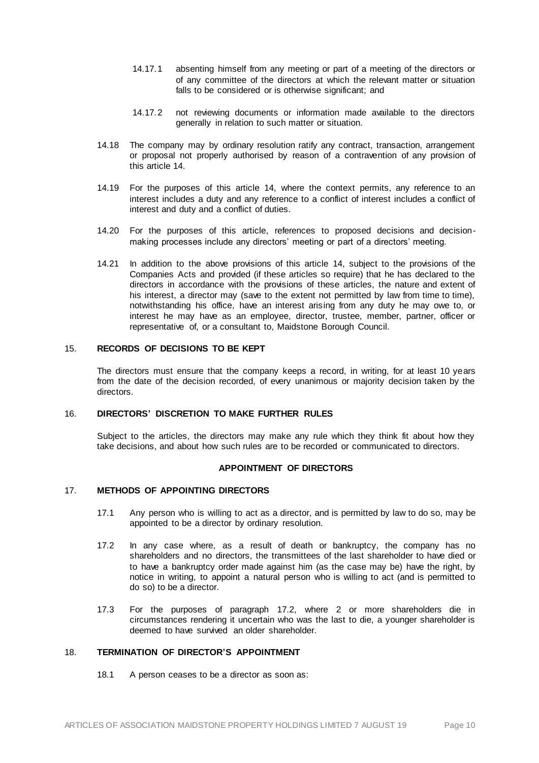- 14.17.1 absenting himself from any meeting or part of a meeting of the directors or of any committee of the directors at which the relevant matter or situation falls to be considered or is otherwise significant; and
- 14.17.2 not reviewing documents or information made available to the directors generally in relation to such matter or situation.
- 14.18 The company may by ordinary resolution ratify any contract, transaction, arrangement or proposal not properly authorised by reason of a contravention of any provision of this articl[e 14.](#page-10-1)
- 14.19 For the purposes of this article [14,](#page-10-1) where the context permits, any reference to an interest includes a duty and any reference to a conflict of interest includes a conflict of interest and duty and a conflict of duties.
- 14.20 For the purposes of this article, references to proposed decisions and decisionmaking processes include any directors' meeting or part of a directors' meeting.
- 14.21 In addition to the above provisions of this article [14,](#page-10-1) subject to the provisions of the Companies Acts and provided (if these articles so require) that he has declared to the directors in accordance with the provisions of these articles, the nature and extent of his interest, a director may (save to the extent not permitted by law from time to time). notwithstanding his office, have an interest arising from any duty he may owe to, or interest he may have as an employee, director, trustee, member, partner, officer or representative of, or a consultant to, Maidstone Borough Council.

# 15. **RECORDS OF DECISIONS TO BE KEPT**

The directors must ensure that the company keeps a record, in writing, for at least 10 years from the date of the decision recorded, of every unanimous or majority decision taken by the directors.

## 16. **DIRECTORS' DISCRETION TO MAKE FURTHER RULES**

Subject to the articles, the directors may make any rule which they think fit about how they take decisions, and about how such rules are to be recorded or communicated to directors.

#### **APPOINTMENT OF DIRECTORS**

## 17. **METHODS OF APPOINTING DIRECTORS**

- 17.1 Any person who is willing to act as a director, and is permitted by law to do so, may be appointed to be a director by ordinary resolution.
- <span id="page-13-0"></span>17.2 In any case where, as a result of death or bankruptcy, the company has no shareholders and no directors, the transmittees of the last shareholder to have died or to have a bankruptcy order made against him (as the case may be) have the right, by notice in writing, to appoint a natural person who is willing to act (and is permitted to do so) to be a director.
- 17.3 For the purposes of paragraph [17.2,](#page-13-0) where 2 or more shareholders die in circumstances rendering it uncertain who was the last to die, a younger shareholder is deemed to have survived an older shareholder.

# 18. **TERMINATION OF DIRECTOR'S APPOINTMENT**

18.1 A person ceases to be a director as soon as: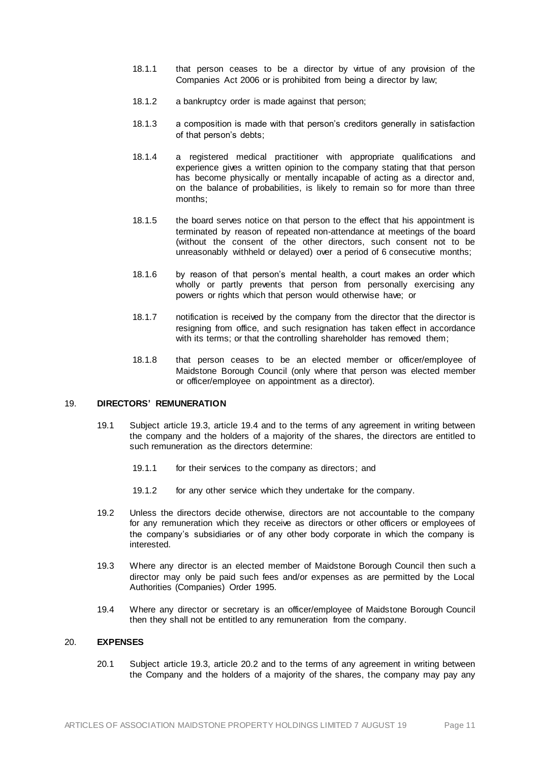- 18.1.1 that person ceases to be a director by virtue of any provision of the Companies Act 2006 or is prohibited from being a director by law;
- 18.1.2 a bankruptcy order is made against that person;
- 18.1.3 a composition is made with that person's creditors generally in satisfaction of that person's debts;
- 18.1.4 a registered medical practitioner with appropriate qualifications and experience gives a written opinion to the company stating that that person has become physically or mentally incapable of acting as a director and, on the balance of probabilities, is likely to remain so for more than three months;
- 18.1.5 the board serves notice on that person to the effect that his appointment is terminated by reason of repeated non-attendance at meetings of the board (without the consent of the other directors, such consent not to be unreasonably withheld or delayed) over a period of 6 consecutive months;
- 18.1.6 by reason of that person's mental health, a court makes an order which wholly or partly prevents that person from personally exercising any powers or rights which that person would otherwise have; or
- 18.1.7 notification is received by the company from the director that the director is resigning from office, and such resignation has taken effect in accordance with its terms; or that the controlling shareholder has removed them;
- 18.1.8 that person ceases to be an elected member or officer/employee of Maidstone Borough Council (only where that person was elected member or officer/employee on appointment as a director).

# 19. **DIRECTORS' REMUNERATION**

- 19.1 Subject article 19.3, article 19.4 and to the terms of any agreement in writing between the company and the holders of a majority of the shares, the directors are entitled to such remuneration as the directors determine:
	- 19.1.1 for their services to the company as directors; and
	- 19.1.2 for any other service which they undertake for the company.
- 19.2 Unless the directors decide otherwise, directors are not accountable to the company for any remuneration which they receive as directors or other officers or employees of the company's subsidiaries or of any other body corporate in which the company is interested.
- 19.3 Where any director is an elected member of Maidstone Borough Council then such a director may only be paid such fees and/or expenses as are permitted by the Local Authorities (Companies) Order 1995.
- 19.4 Where any director or secretary is an officer/employee of Maidstone Borough Council then they shall not be entitled to any remuneration from the company.

# 20. **EXPENSES**

20.1 Subject article 19.3, article 20.2 and to the terms of any agreement in writing between the Company and the holders of a majority of the shares, the company may pay any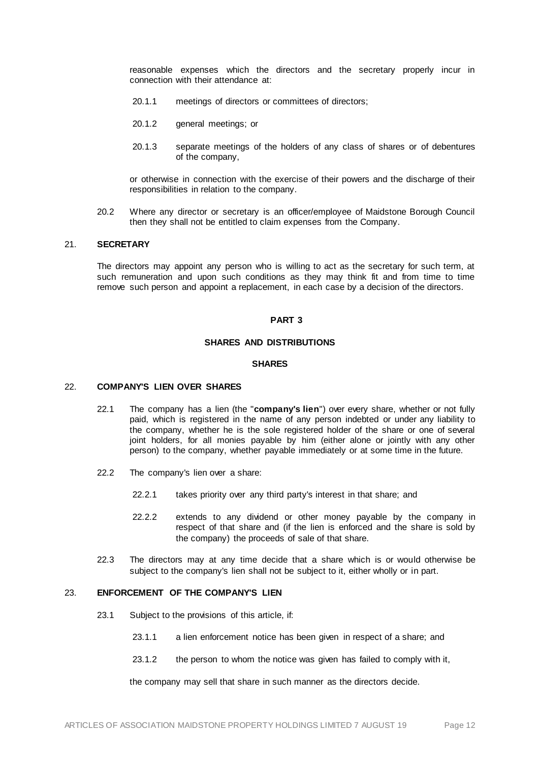reasonable expenses which the directors and the secretary properly incur in connection with their attendance at:

- 20.1.1 meetings of directors or committees of directors;
- 20.1.2 general meetings; or
- 20.1.3 separate meetings of the holders of any class of shares or of debentures of the company,

or otherwise in connection with the exercise of their powers and the discharge of their responsibilities in relation to the company.

20.2 Where any director or secretary is an officer/employee of Maidstone Borough Council then they shall not be entitled to claim expenses from the Company.

#### 21. **SECRETARY**

The directors may appoint any person who is willing to act as the secretary for such term, at such remuneration and upon such conditions as they may think fit and from time to time remove such person and appoint a replacement, in each case by a decision of the directors.

#### **PART 3**

## **SHARES AND DISTRIBUTIONS**

#### **SHARES**

## 22. **COMPANY'S LIEN OVER SHARES**

- 22.1 The company has a lien (the "**company's lien**") over every share, whether or not fully paid, which is registered in the name of any person indebted or under any liability to the company, whether he is the sole registered holder of the share or one of several joint holders, for all monies payable by him (either alone or jointly with any other person) to the company, whether payable immediately or at some time in the future.
- 22.2 The company's lien over a share:
	- 22.2.1 takes priority over any third party's interest in that share; and
	- 22.2.2 extends to any dividend or other money payable by the company in respect of that share and (if the lien is enforced and the share is sold by the company) the proceeds of sale of that share.
- 22.3 The directors may at any time decide that a share which is or would otherwise be subject to the company's lien shall not be subject to it, either wholly or in part.

# 23. **ENFORCEMENT OF THE COMPANY'S LIEN**

- 23.1 Subject to the provisions of this article, if:
	- 23.1.1 a lien enforcement notice has been given in respect of a share; and
	- 23.1.2 the person to whom the notice was given has failed to comply with it,

the company may sell that share in such manner as the directors decide.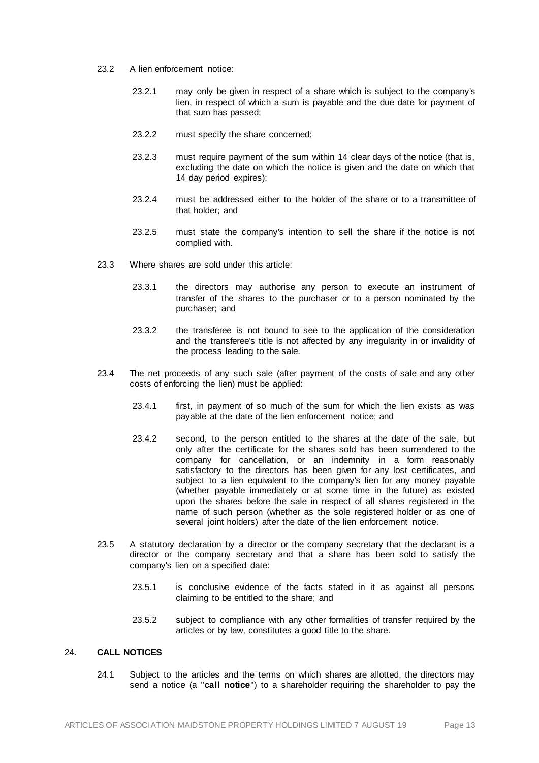- 23.2 A lien enforcement notice:
	- 23.2.1 may only be given in respect of a share which is subject to the company's lien, in respect of which a sum is payable and the due date for payment of that sum has passed;
	- 23.2.2 must specify the share concerned;
	- 23.2.3 must require payment of the sum within 14 clear days of the notice (that is, excluding the date on which the notice is given and the date on which that 14 day period expires);
	- 23.2.4 must be addressed either to the holder of the share or to a transmittee of that holder; and
	- 23.2.5 must state the company's intention to sell the share if the notice is not complied with.
- 23.3 Where shares are sold under this article:
	- 23.3.1 the directors may authorise any person to execute an instrument of transfer of the shares to the purchaser or to a person nominated by the purchaser; and
	- 23.3.2 the transferee is not bound to see to the application of the consideration and the transferee's title is not affected by any irregularity in or invalidity of the process leading to the sale.
- 23.4 The net proceeds of any such sale (after payment of the costs of sale and any other costs of enforcing the lien) must be applied:
	- 23.4.1 first, in payment of so much of the sum for which the lien exists as was payable at the date of the lien enforcement notice; and
	- 23.4.2 second, to the person entitled to the shares at the date of the sale, but only after the certificate for the shares sold has been surrendered to the company for cancellation, or an indemnity in a form reasonably satisfactory to the directors has been given for any lost certificates, and subject to a lien equivalent to the company's lien for any money payable (whether payable immediately or at some time in the future) as existed upon the shares before the sale in respect of all shares registered in the name of such person (whether as the sole registered holder or as one of several joint holders) after the date of the lien enforcement notice.
- 23.5 A statutory declaration by a director or the company secretary that the declarant is a director or the company secretary and that a share has been sold to satisfy the company's lien on a specified date:
	- 23.5.1 is conclusive evidence of the facts stated in it as against all persons claiming to be entitled to the share; and
	- 23.5.2 subject to compliance with any other formalities of transfer required by the articles or by law, constitutes a good title to the share.

# 24. **CALL NOTICES**

24.1 Subject to the articles and the terms on which shares are allotted, the directors may send a notice (a "**call notice**") to a shareholder requiring the shareholder to pay the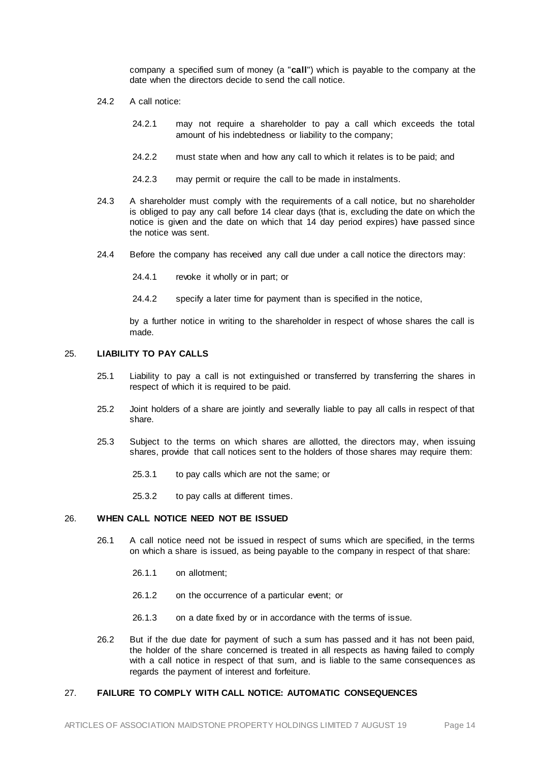company a specified sum of money (a "**call**") which is payable to the company at the date when the directors decide to send the call notice.

- 24.2 A call notice:
	- 24.2.1 may not require a shareholder to pay a call which exceeds the total amount of his indebtedness or liability to the company;
	- 24.2.2 must state when and how any call to which it relates is to be paid; and
	- 24.2.3 may permit or require the call to be made in instalments.
- 24.3 A shareholder must comply with the requirements of a call notice, but no shareholder is obliged to pay any call before 14 clear days (that is, excluding the date on which the notice is given and the date on which that 14 day period expires) have passed since the notice was sent.
- 24.4 Before the company has received any call due under a call notice the directors may:
	- 24.4.1 revoke it wholly or in part; or
	- 24.4.2 specify a later time for payment than is specified in the notice,

by a further notice in writing to the shareholder in respect of whose shares the call is made.

#### 25. **LIABILITY TO PAY CALLS**

- 25.1 Liability to pay a call is not extinguished or transferred by transferring the shares in respect of which it is required to be paid.
- 25.2 Joint holders of a share are jointly and severally liable to pay all calls in respect of that share.
- 25.3 Subject to the terms on which shares are allotted, the directors may, when issuing shares, provide that call notices sent to the holders of those shares may require them:
	- 25.3.1 to pay calls which are not the same; or
	- 25.3.2 to pay calls at different times.

#### 26. **WHEN CALL NOTICE NEED NOT BE ISSUED**

- 26.1 A call notice need not be issued in respect of sums which are specified, in the terms on which a share is issued, as being payable to the company in respect of that share:
	- 26.1.1 on allotment;
	- 26.1.2 on the occurrence of a particular event; or
	- 26.1.3 on a date fixed by or in accordance with the terms of issue.
- 26.2 But if the due date for payment of such a sum has passed and it has not been paid, the holder of the share concerned is treated in all respects as having failed to comply with a call notice in respect of that sum, and is liable to the same consequences as regards the payment of interest and forfeiture.

# 27. **FAILURE TO COMPLY WITH CALL NOTICE: AUTOMATIC CONSEQUENCES**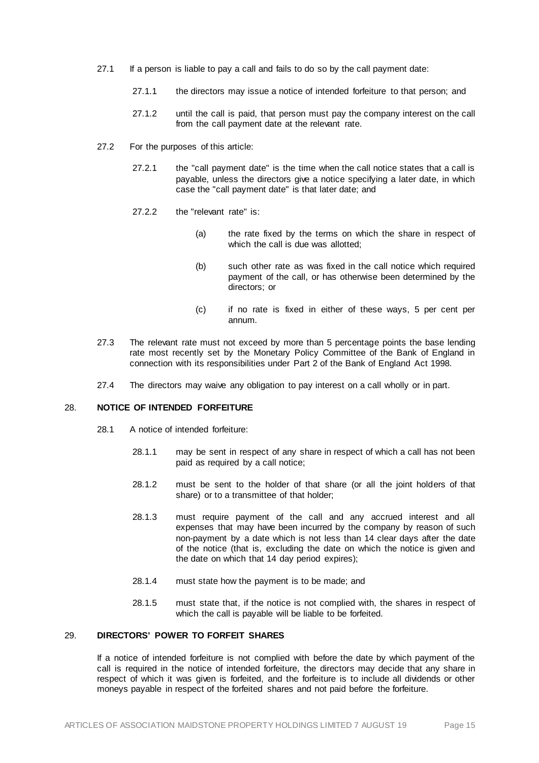- 27.1 If a person is liable to pay a call and fails to do so by the call payment date:
	- 27.1.1 the directors may issue a notice of intended forfeiture to that person; and
	- 27.1.2 until the call is paid, that person must pay the company interest on the call from the call payment date at the relevant rate.
- 27.2 For the purposes of this article:
	- 27.2.1 the "call payment date" is the time when the call notice states that a call is payable, unless the directors give a notice specifying a later date, in which case the "call payment date" is that later date; and
	- 27.2.2 the "relevant rate" is:
		- (a) the rate fixed by the terms on which the share in respect of which the call is due was allotted:
		- (b) such other rate as was fixed in the call notice which required payment of the call, or has otherwise been determined by the directors; or
		- (c) if no rate is fixed in either of these ways, 5 per cent per annum.
- 27.3 The relevant rate must not exceed by more than 5 percentage points the base lending rate most recently set by the Monetary Policy Committee of the Bank of England in connection with its responsibilities under Part 2 of the Bank of England Act 1998.
- 27.4 The directors may waive any obligation to pay interest on a call wholly or in part.

## 28. **NOTICE OF INTENDED FORFEITURE**

- 28.1 A notice of intended forfeiture:
	- 28.1.1 may be sent in respect of any share in respect of which a call has not been paid as required by a call notice;
	- 28.1.2 must be sent to the holder of that share (or all the joint holders of that share) or to a transmittee of that holder;
	- 28.1.3 must require payment of the call and any accrued interest and all expenses that may have been incurred by the company by reason of such non-payment by a date which is not less than 14 clear days after the date of the notice (that is, excluding the date on which the notice is given and the date on which that 14 day period expires);
	- 28.1.4 must state how the payment is to be made; and
	- 28.1.5 must state that, if the notice is not complied with, the shares in respect of which the call is payable will be liable to be forfeited.

# 29. **DIRECTORS' POWER TO FORFEIT SHARES**

If a notice of intended forfeiture is not complied with before the date by which payment of the call is required in the notice of intended forfeiture, the directors may decide that any share in respect of which it was given is forfeited, and the forfeiture is to include all dividends or other moneys payable in respect of the forfeited shares and not paid before the forfeiture.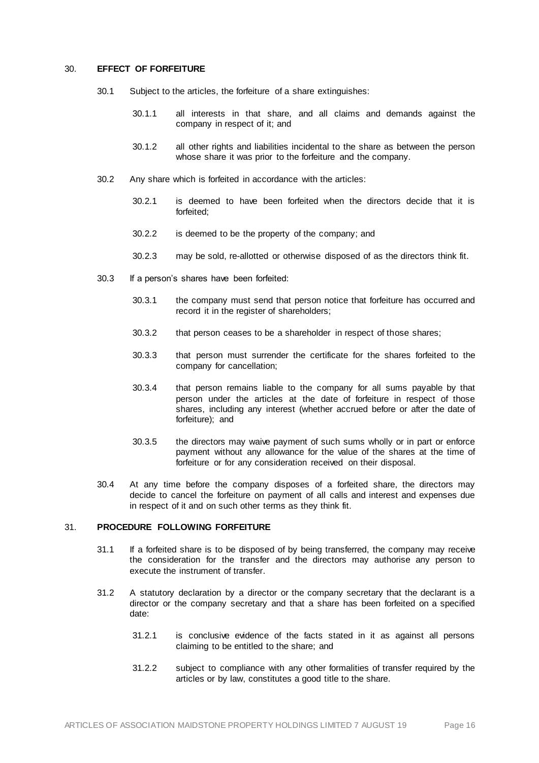#### 30. **EFFECT OF FORFEITURE**

- 30.1 Subject to the articles, the forfeiture of a share extinguishes:
	- 30.1.1 all interests in that share, and all claims and demands against the company in respect of it; and
	- 30.1.2 all other rights and liabilities incidental to the share as between the person whose share it was prior to the forfeiture and the company.
- 30.2 Any share which is forfeited in accordance with the articles:
	- 30.2.1 is deemed to have been forfeited when the directors decide that it is forfeited;
	- 30.2.2 is deemed to be the property of the company; and
	- 30.2.3 may be sold, re-allotted or otherwise disposed of as the directors think fit.
- 30.3 If a person's shares have been forfeited:
	- 30.3.1 the company must send that person notice that forfeiture has occurred and record it in the register of shareholders;
	- 30.3.2 that person ceases to be a shareholder in respect of those shares;
	- 30.3.3 that person must surrender the certificate for the shares forfeited to the company for cancellation;
	- 30.3.4 that person remains liable to the company for all sums payable by that person under the articles at the date of forfeiture in respect of those shares, including any interest (whether accrued before or after the date of forfeiture); and
	- 30.3.5 the directors may waive payment of such sums wholly or in part or enforce payment without any allowance for the value of the shares at the time of forfeiture or for any consideration received on their disposal.
- 30.4 At any time before the company disposes of a forfeited share, the directors may decide to cancel the forfeiture on payment of all calls and interest and expenses due in respect of it and on such other terms as they think fit.

## 31. **PROCEDURE FOLLOWING FORFEITURE**

- 31.1 If a forfeited share is to be disposed of by being transferred, the company may receive the consideration for the transfer and the directors may authorise any person to execute the instrument of transfer.
- 31.2 A statutory declaration by a director or the company secretary that the declarant is a director or the company secretary and that a share has been forfeited on a specified date:
	- 31.2.1 is conclusive evidence of the facts stated in it as against all persons claiming to be entitled to the share; and
	- 31.2.2 subject to compliance with any other formalities of transfer required by the articles or by law, constitutes a good title to the share.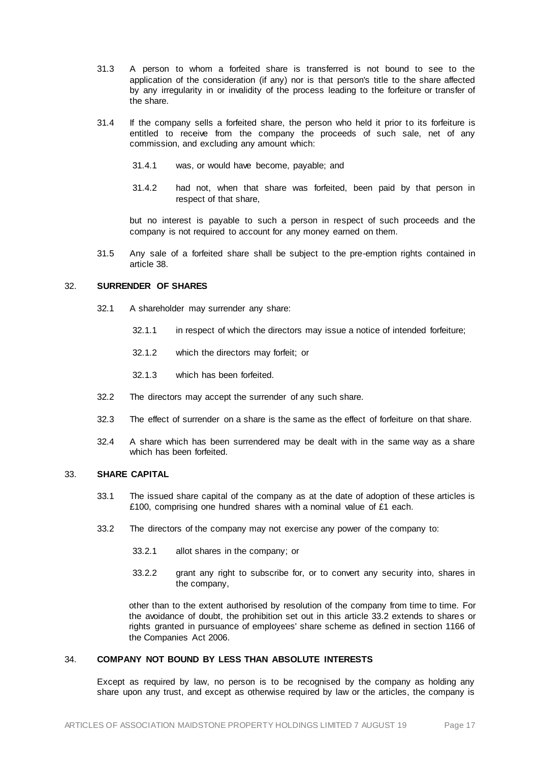- 31.3 A person to whom a forfeited share is transferred is not bound to see to the application of the consideration (if any) nor is that person's title to the share affected by any irregularity in or invalidity of the process leading to the forfeiture or transfer of the share.
- 31.4 If the company sells a forfeited share, the person who held it prior to its forfeiture is entitled to receive from the company the proceeds of such sale, net of any commission, and excluding any amount which:
	- 31.4.1 was, or would have become, payable; and
	- 31.4.2 had not, when that share was forfeited, been paid by that person in respect of that share,

but no interest is payable to such a person in respect of such proceeds and the company is not required to account for any money earned on them.

31.5 Any sale of a forfeited share shall be subject to the pre-emption rights contained in article [38.](#page-22-0)

# 32. **SURRENDER OF SHARES**

- 32.1 A shareholder may surrender any share:
	- 32.1.1 in respect of which the directors may issue a notice of intended forfeiture;
	- 32.1.2 which the directors may forfeit; or
	- 32.1.3 which has been forfeited.
- 32.2 The directors may accept the surrender of any such share.
- 32.3 The effect of surrender on a share is the same as the effect of forfeiture on that share.
- 32.4 A share which has been surrendered may be dealt with in the same way as a share which has been forfeited.

# 33. **SHARE CAPITAL**

- 33.1 The issued share capital of the company as at the date of adoption of these articles is £100, comprising one hundred shares with a nominal value of £1 each.
- 33.2 The directors of the company may not exercise any power of the company to:
	- 33.2.1 allot shares in the company; or
	- 33.2.2 grant any right to subscribe for, or to convert any security into, shares in the company,

other than to the extent authorised by resolution of the company from time to time. For the avoidance of doubt, the prohibition set out in this article 33.2 extends to shares or rights granted in pursuance of employees' share scheme as defined in section 1166 of the Companies Act 2006.

# 34. **COMPANY NOT BOUND BY LESS THAN ABSOLUTE INTERESTS**

Except as required by law, no person is to be recognised by the company as holding any share upon any trust, and except as otherwise required by law or the articles, the company is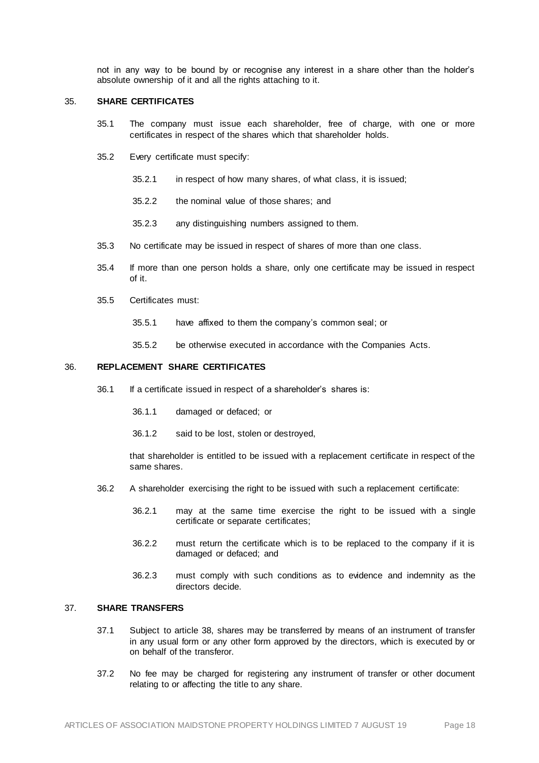not in any way to be bound by or recognise any interest in a share other than the holder's absolute ownership of it and all the rights attaching to it.

#### 35. **SHARE CERTIFICATES**

- 35.1 The company must issue each shareholder, free of charge, with one or more certificates in respect of the shares which that shareholder holds.
- 35.2 Every certificate must specify:
	- 35.2.1 in respect of how many shares, of what class, it is issued;
	- 35.2.2 the nominal value of those shares; and
	- 35.2.3 any distinguishing numbers assigned to them.
- 35.3 No certificate may be issued in respect of shares of more than one class.
- 35.4 If more than one person holds a share, only one certificate may be issued in respect of it.
- 35.5 Certificates must:
	- 35.5.1 have affixed to them the company's common seal; or
	- 35.5.2 be otherwise executed in accordance with the Companies Acts.

#### 36. **REPLACEMENT SHARE CERTIFICATES**

- 36.1 If a certificate issued in respect of a shareholder's shares is:
	- 36.1.1 damaged or defaced; or
	- 36.1.2 said to be lost, stolen or destroyed,

that shareholder is entitled to be issued with a replacement certificate in respect of the same shares.

- 36.2 A shareholder exercising the right to be issued with such a replacement certificate:
	- 36.2.1 may at the same time exercise the right to be issued with a single certificate or separate certificates;
	- 36.2.2 must return the certificate which is to be replaced to the company if it is damaged or defaced; and
	- 36.2.3 must comply with such conditions as to evidence and indemnity as the directors decide.

## 37. **SHARE TRANSFERS**

- 37.1 Subject to article [38,](#page-22-0) shares may be transferred by means of an instrument of transfer in any usual form or any other form approved by the directors, which is executed by or on behalf of the transferor.
- 37.2 No fee may be charged for registering any instrument of transfer or other document relating to or affecting the title to any share.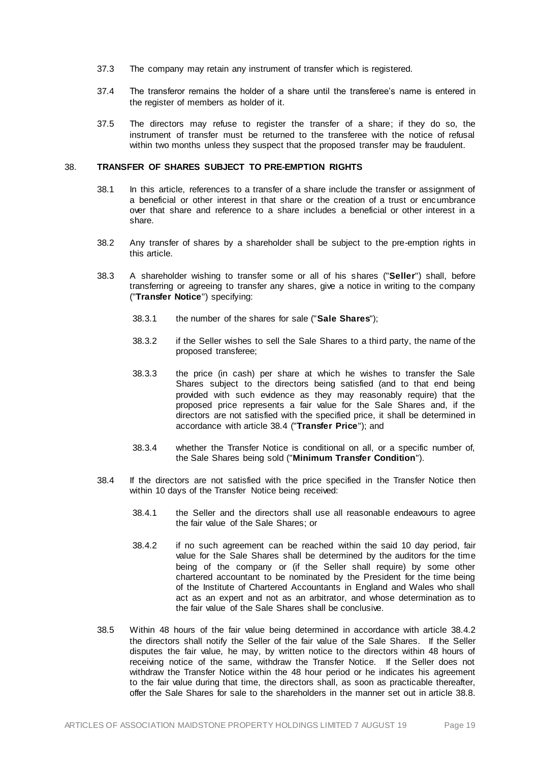- 37.3 The company may retain any instrument of transfer which is registered.
- 37.4 The transferor remains the holder of a share until the transferee's name is entered in the register of members as holder of it.
- 37.5 The directors may refuse to register the transfer of a share; if they do so, the instrument of transfer must be returned to the transferee with the notice of refusal within two months unless they suspect that the proposed transfer may be fraudulent.

#### <span id="page-22-0"></span>38. **TRANSFER OF SHARES SUBJECT TO PRE-EMPTION RIGHTS**

- 38.1 In this article, references to a transfer of a share include the transfer or assignment of a beneficial or other interest in that share or the creation of a trust or encumbrance over that share and reference to a share includes a beneficial or other interest in a share.
- 38.2 Any transfer of shares by a shareholder shall be subject to the pre-emption rights in this article.
- 38.3 A shareholder wishing to transfer some or all of his shares ("**Seller**") shall, before transferring or agreeing to transfer any shares, give a notice in writing to the company ("**Transfer Notice**") specifying:
	- 38.3.1 the number of the shares for sale ("**Sale Shares**");
	- 38.3.2 if the Seller wishes to sell the Sale Shares to a third party, the name of the proposed transferee;
	- 38.3.3 the price (in cash) per share at which he wishes to transfer the Sale Shares subject to the directors being satisfied (and to that end being provided with such evidence as they may reasonably require) that the proposed price represents a fair value for the Sale Shares and, if the directors are not satisfied with the specified price, it shall be determined in accordance with article [38.4](#page-22-1) ("**Transfer Price**"); and
	- 38.3.4 whether the Transfer Notice is conditional on all, or a specific number of, the Sale Shares being sold ("**Minimum Transfer Condition**").
- <span id="page-22-2"></span><span id="page-22-1"></span>38.4 If the directors are not satisfied with the price specified in the Transfer Notice then within 10 days of the Transfer Notice being received:
	- 38.4.1 the Seller and the directors shall use all reasonable endeavours to agree the fair value of the Sale Shares; or
	- 38.4.2 if no such agreement can be reached within the said 10 day period, fair value for the Sale Shares shall be determined by the auditors for the time being of the company or (if the Seller shall require) by some other chartered accountant to be nominated by the President for the time being of the Institute of Chartered Accountants in England and Wales who shall act as an expert and not as an arbitrator, and whose determination as to the fair value of the Sale Shares shall be conclusive.
- <span id="page-22-3"></span>38.5 Within 48 hours of the fair value being determined in accordance with articl[e 38.4.2](#page-22-2) the directors shall notify the Seller of the fair value of the Sale Shares. If the Seller disputes the fair value, he may, by written notice to the directors within 48 hours of receiving notice of the same, withdraw the Transfer Notice. If the Seller does not withdraw the Transfer Notice within the 48 hour period or he indicates his agreement to the fair value during that time, the directors shall, as soon as practicable thereafter, offer the Sale Shares for sale to the shareholders in the manner set out in articl[e 38.8.](#page-23-0)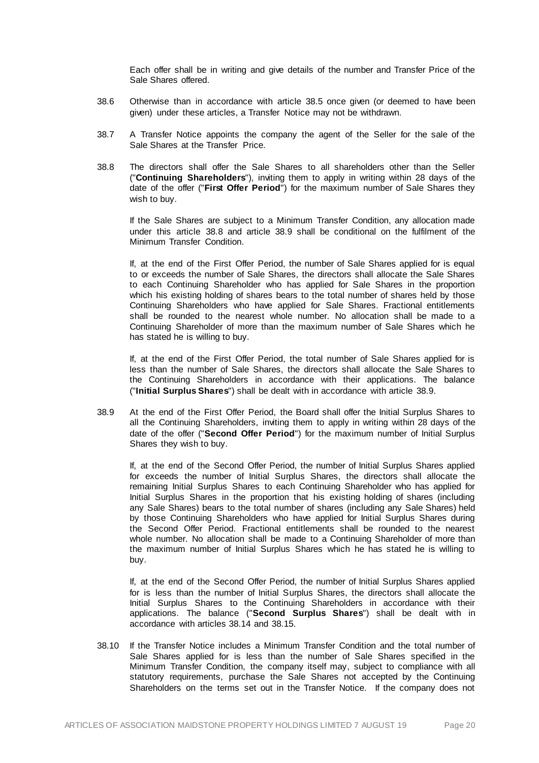Each offer shall be in writing and give details of the number and Transfer Price of the Sale Shares offered.

- 38.6 Otherwise than in accordance with articl[e 38.5](#page-22-3) once given (or deemed to have been given) under these articles, a Transfer Notice may not be withdrawn.
- 38.7 A Transfer Notice appoints the company the agent of the Seller for the sale of the Sale Shares at the Transfer Price.
- <span id="page-23-0"></span>38.8 The directors shall offer the Sale Shares to all shareholders other than the Seller ("**Continuing Shareholders**"), inviting them to apply in writing within 28 days of the date of the offer ("**First Offer Period**") for the maximum number of Sale Shares they wish to buy.

If the Sale Shares are subject to a Minimum Transfer Condition, any allocation made under this article [38.8](#page-23-0) and article [38.9](#page-23-1) shall be conditional on the fulfilment of the Minimum Transfer Condition.

If, at the end of the First Offer Period, the number of Sale Shares applied for is equal to or exceeds the number of Sale Shares, the directors shall allocate the Sale Shares to each Continuing Shareholder who has applied for Sale Shares in the proportion which his existing holding of shares bears to the total number of shares held by those Continuing Shareholders who have applied for Sale Shares. Fractional entitlements shall be rounded to the nearest whole number. No allocation shall be made to a Continuing Shareholder of more than the maximum number of Sale Shares which he has stated he is willing to buy.

If, at the end of the First Offer Period, the total number of Sale Shares applied for is less than the number of Sale Shares, the directors shall allocate the Sale Shares to the Continuing Shareholders in accordance with their applications. The balance ("**Initial Surplus Shares**") shall be dealt with in accordance with article [38.9.](#page-23-1)

<span id="page-23-1"></span>38.9 At the end of the First Offer Period, the Board shall offer the Initial Surplus Shares to all the Continuing Shareholders, inviting them to apply in writing within 28 days of the date of the offer ("**Second Offer Period**") for the maximum number of Initial Surplus Shares they wish to buy.

If, at the end of the Second Offer Period, the number of Initial Surplus Shares applied for exceeds the number of Initial Surplus Shares, the directors shall allocate the remaining Initial Surplus Shares to each Continuing Shareholder who has applied for Initial Surplus Shares in the proportion that his existing holding of shares (including any Sale Shares) bears to the total number of shares (including any Sale Shares) held by those Continuing Shareholders who have applied for Initial Surplus Shares during the Second Offer Period. Fractional entitlements shall be rounded to the nearest whole number. No allocation shall be made to a Continuing Shareholder of more than the maximum number of Initial Surplus Shares which he has stated he is willing to buy.

If, at the end of the Second Offer Period, the number of Initial Surplus Shares applied for is less than the number of Initial Surplus Shares, the directors shall allocate the Initial Surplus Shares to the Continuing Shareholders in accordance with their applications. The balance ("**Second Surplus Shares**") shall be dealt with in accordance with articles [38.14](#page-24-0) and [38.15.](#page-24-1)

<span id="page-23-2"></span>38.10 If the Transfer Notice includes a Minimum Transfer Condition and the total number of Sale Shares applied for is less than the number of Sale Shares specified in the Minimum Transfer Condition, the company itself may, subject to compliance with all statutory requirements, purchase the Sale Shares not accepted by the Continuing Shareholders on the terms set out in the Transfer Notice. If the company does not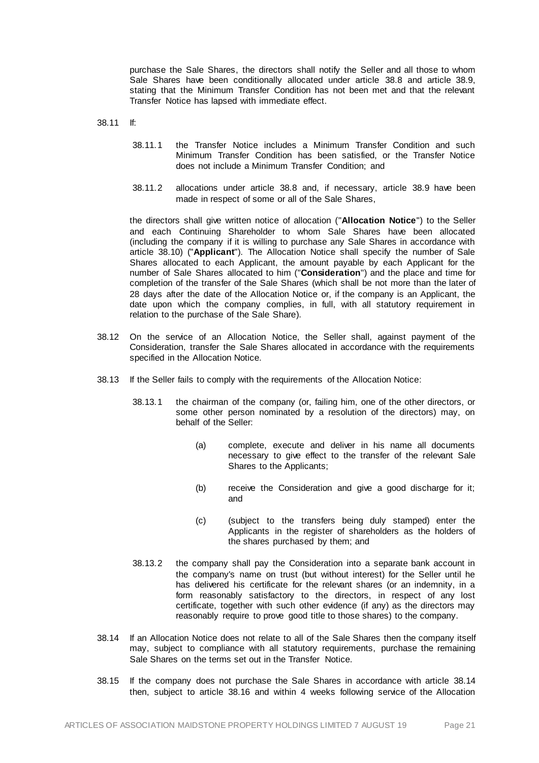purchase the Sale Shares, the directors shall notify the Seller and all those to whom Sale Shares have been conditionally allocated under article [38.8](#page-23-0) and article [38.9,](#page-23-1) stating that the Minimum Transfer Condition has not been met and that the relevant Transfer Notice has lapsed with immediate effect.

38.11 If:

- 38.11.1 the Transfer Notice includes a Minimum Transfer Condition and such Minimum Transfer Condition has been satisfied, or the Transfer Notice does not include a Minimum Transfer Condition; and
- 38.11.2 allocations under article [38.8](#page-23-0) and, if necessary, articl[e 38.9](#page-23-1) have been made in respect of some or all of the Sale Shares,

the directors shall give written notice of allocation ("**Allocation Notice**") to the Seller and each Continuing Shareholder to whom Sale Shares have been allocated (including the company if it is willing to purchase any Sale Shares in accordance with article [38.10\)](#page-23-2) ("**Applicant**"). The Allocation Notice shall specify the number of Sale Shares allocated to each Applicant, the amount payable by each Applicant for the number of Sale Shares allocated to him ("**Consideration**") and the place and time for completion of the transfer of the Sale Shares (which shall be not more than the later of 28 days after the date of the Allocation Notice or, if the company is an Applicant, the date upon which the company complies, in full, with all statutory requirement in relation to the purchase of the Sale Share).

- 38.12 On the service of an Allocation Notice, the Seller shall, against payment of the Consideration, transfer the Sale Shares allocated in accordance with the requirements specified in the Allocation Notice.
- 38.13 If the Seller fails to comply with the requirements of the Allocation Notice:
	- 38.13.1 the chairman of the company (or, failing him, one of the other directors, or some other person nominated by a resolution of the directors) may, on behalf of the Seller:
		- (a) complete, execute and deliver in his name all documents necessary to give effect to the transfer of the relevant Sale Shares to the Applicants;
		- (b) receive the Consideration and give a good discharge for it; and
		- (c) (subject to the transfers being duly stamped) enter the Applicants in the register of shareholders as the holders of the shares purchased by them; and
	- 38.13.2 the company shall pay the Consideration into a separate bank account in the company's name on trust (but without interest) for the Seller until he has delivered his certificate for the relevant shares (or an indemnity, in a form reasonably satisfactory to the directors, in respect of any lost certificate, together with such other evidence (if any) as the directors may reasonably require to prove good title to those shares) to the company.
- <span id="page-24-0"></span>38.14 If an Allocation Notice does not relate to all of the Sale Shares then the company itself may, subject to compliance with all statutory requirements, purchase the remaining Sale Shares on the terms set out in the Transfer Notice.
- <span id="page-24-1"></span>38.15 If the company does not purchase the Sale Shares in accordance with article [38.14](#page-24-0) then, subject to article [38.16](#page-25-0) and within 4 weeks following service of the Allocation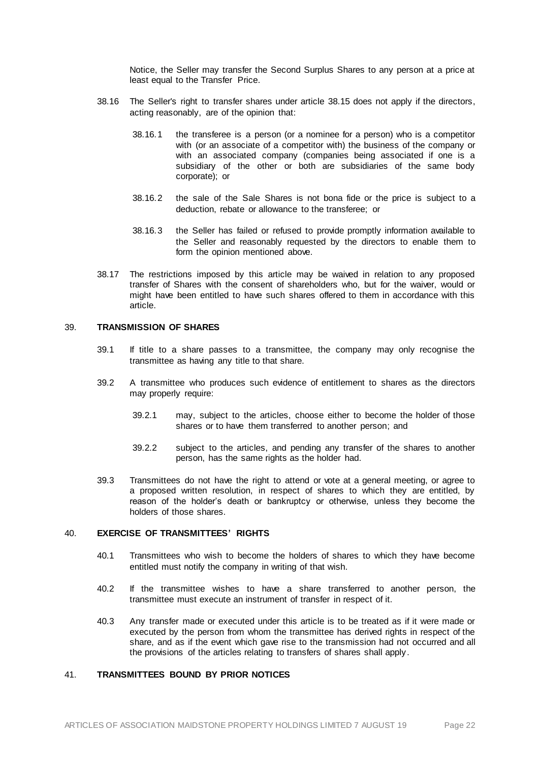Notice, the Seller may transfer the Second Surplus Shares to any person at a price at least equal to the Transfer Price.

- <span id="page-25-0"></span>38.16 The Seller's right to transfer shares under article [38.15](#page-24-1) does not apply if the directors, acting reasonably, are of the opinion that:
	- 38.16.1 the transferee is a person (or a nominee for a person) who is a competitor with (or an associate of a competitor with) the business of the company or with an associated company (companies being associated if one is a subsidiary of the other or both are subsidiaries of the same body corporate); or
	- 38.16.2 the sale of the Sale Shares is not bona fide or the price is subject to a deduction, rebate or allowance to the transferee; or
	- 38.16.3 the Seller has failed or refused to provide promptly information available to the Seller and reasonably requested by the directors to enable them to form the opinion mentioned above.
- 38.17 The restrictions imposed by this article may be waived in relation to any proposed transfer of Shares with the consent of shareholders who, but for the waiver, would or might have been entitled to have such shares offered to them in accordance with this article.

# 39. **TRANSMISSION OF SHARES**

- 39.1 If title to a share passes to a transmittee, the company may only recognise the transmittee as having any title to that share.
- 39.2 A transmittee who produces such evidence of entitlement to shares as the directors may properly require:
	- 39.2.1 may, subject to the articles, choose either to become the holder of those shares or to have them transferred to another person; and
	- 39.2.2 subject to the articles, and pending any transfer of the shares to another person, has the same rights as the holder had.
- 39.3 Transmittees do not have the right to attend or vote at a general meeting, or agree to a proposed written resolution, in respect of shares to which they are entitled, by reason of the holder's death or bankruptcy or otherwise, unless they become the holders of those shares.

## 40. **EXERCISE OF TRANSMITTEES' RIGHTS**

- 40.1 Transmittees who wish to become the holders of shares to which they have become entitled must notify the company in writing of that wish.
- <span id="page-25-1"></span>40.2 If the transmittee wishes to have a share transferred to another person, the transmittee must execute an instrument of transfer in respect of it.
- 40.3 Any transfer made or executed under this article is to be treated as if it were made or executed by the person from whom the transmittee has derived rights in respect of the share, and as if the event which gave rise to the transmission had not occurred and all the provisions of the articles relating to transfers of shares shall apply.

## 41. **TRANSMITTEES BOUND BY PRIOR NOTICES**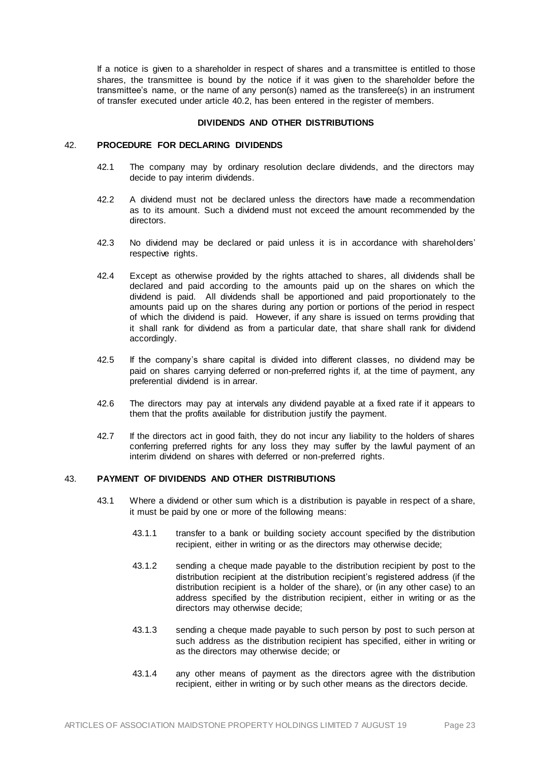If a notice is given to a shareholder in respect of shares and a transmittee is entitled to those shares, the transmittee is bound by the notice if it was given to the shareholder before the transmittee's name, or the name of any person(s) named as the transferee(s) in an instrument of transfer executed under article [40.2,](#page-25-1) has been entered in the register of members.

## **DIVIDENDS AND OTHER DISTRIBUTIONS**

# 42. **PROCEDURE FOR DECLARING DIVIDENDS**

- 42.1 The company may by ordinary resolution declare dividends, and the directors may decide to pay interim dividends.
- 42.2 A dividend must not be declared unless the directors have made a recommendation as to its amount. Such a dividend must not exceed the amount recommended by the directors.
- 42.3 No dividend may be declared or paid unless it is in accordance with shareholders' respective rights.
- 42.4 Except as otherwise provided by the rights attached to shares, all dividends shall be declared and paid according to the amounts paid up on the shares on which the dividend is paid. All dividends shall be apportioned and paid proportionately to the amounts paid up on the shares during any portion or portions of the period in respect of which the dividend is paid. However, if any share is issued on terms providing that it shall rank for dividend as from a particular date, that share shall rank for dividend accordingly.
- 42.5 If the company's share capital is divided into different classes, no dividend may be paid on shares carrying deferred or non-preferred rights if, at the time of payment, any preferential dividend is in arrear.
- 42.6 The directors may pay at intervals any dividend payable at a fixed rate if it appears to them that the profits available for distribution justify the payment.
- 42.7 If the directors act in good faith, they do not incur any liability to the holders of shares conferring preferred rights for any loss they may suffer by the lawful payment of an interim dividend on shares with deferred or non-preferred rights.

# <span id="page-26-0"></span>43. **PAYMENT OF DIVIDENDS AND OTHER DISTRIBUTIONS**

- 43.1 Where a dividend or other sum which is a distribution is payable in respect of a share, it must be paid by one or more of the following means:
	- 43.1.1 transfer to a bank or building society account specified by the distribution recipient, either in writing or as the directors may otherwise decide;
	- 43.1.2 sending a cheque made payable to the distribution recipient by post to the distribution recipient at the distribution recipient's registered address (if the distribution recipient is a holder of the share), or (in any other case) to an address specified by the distribution recipient, either in writing or as the directors may otherwise decide;
	- 43.1.3 sending a cheque made payable to such person by post to such person at such address as the distribution recipient has specified, either in writing or as the directors may otherwise decide; or
	- 43.1.4 any other means of payment as the directors agree with the distribution recipient, either in writing or by such other means as the directors decide.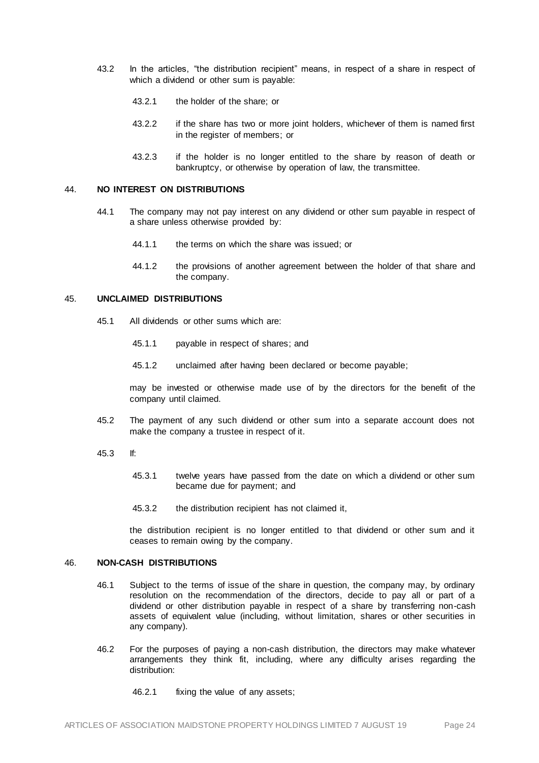- 43.2 In the articles, "the distribution recipient" means, in respect of a share in respect of which a dividend or other sum is payable:
	- 43.2.1 the holder of the share; or
	- 43.2.2 if the share has two or more joint holders, whichever of them is named first in the register of members; or
	- 43.2.3 if the holder is no longer entitled to the share by reason of death or bankruptcy, or otherwise by operation of law, the transmittee.

# 44. **NO INTEREST ON DISTRIBUTIONS**

- 44.1 The company may not pay interest on any dividend or other sum payable in respect of a share unless otherwise provided by:
	- 44.1.1 the terms on which the share was issued; or
	- 44.1.2 the provisions of another agreement between the holder of that share and the company.

#### 45. **UNCLAIMED DISTRIBUTIONS**

- 45.1 All dividends or other sums which are:
	- 45.1.1 payable in respect of shares; and
	- 45.1.2 unclaimed after having been declared or become payable;

may be invested or otherwise made use of by the directors for the benefit of the company until claimed.

- 45.2 The payment of any such dividend or other sum into a separate account does not make the company a trustee in respect of it.
- 45.3 If:
	- 45.3.1 twelve years have passed from the date on which a dividend or other sum became due for payment; and
	- 45.3.2 the distribution recipient has not claimed it,

the distribution recipient is no longer entitled to that dividend or other sum and it ceases to remain owing by the company.

## 46. **NON-CASH DISTRIBUTIONS**

- 46.1 Subject to the terms of issue of the share in question, the company may, by ordinary resolution on the recommendation of the directors, decide to pay all or part of a dividend or other distribution payable in respect of a share by transferring non-cash assets of equivalent value (including, without limitation, shares or other securities in any company).
- 46.2 For the purposes of paying a non-cash distribution, the directors may make whatever arrangements they think fit, including, where any difficulty arises regarding the distribution:
	- 46.2.1 fixing the value of any assets;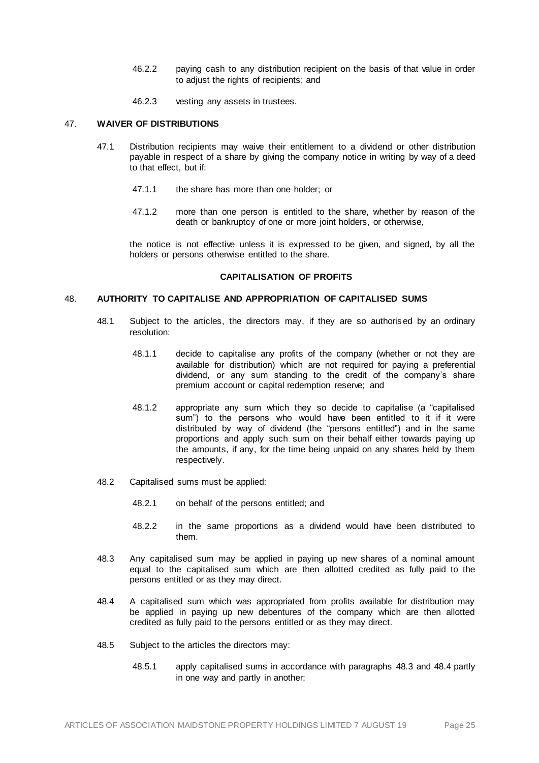- 46.2.2 paying cash to any distribution recipient on the basis of that value in order to adjust the rights of recipients; and
- 46.2.3 vesting any assets in trustees.

# 47. **WAIVER OF DISTRIBUTIONS**

- 47.1 Distribution recipients may waive their entitlement to a dividend or other distribution payable in respect of a share by giving the company notice in writing by way of a deed to that effect, but if:
	- 47.1.1 the share has more than one holder; or
	- 47.1.2 more than one person is entitled to the share, whether by reason of the death or bankruptcy of one or more joint holders, or otherwise,

the notice is not effective unless it is expressed to be given, and signed, by all the holders or persons otherwise entitled to the share.

#### **CAPITALISATION OF PROFITS**

#### 48. **AUTHORITY TO CAPITALISE AND APPROPRIATION OF CAPITALISED SUMS**

- 48.1 Subject to the articles, the directors may, if they are so authorised by an ordinary resolution:
	- 48.1.1 decide to capitalise any profits of the company (whether or not they are available for distribution) which are not required for paying a preferential dividend, or any sum standing to the credit of the company's share premium account or capital redemption reserve; and
	- 48.1.2 appropriate any sum which they so decide to capitalise (a "capitalised sum") to the persons who would have been entitled to it if it were distributed by way of dividend (the "persons entitled") and in the same proportions and apply such sum on their behalf either towards paying up the amounts, if any, for the time being unpaid on any shares held by them respectively.
- 48.2 Capitalised sums must be applied:
	- 48.2.1 on behalf of the persons entitled; and
	- 48.2.2 in the same proportions as a dividend would have been distributed to them.
- <span id="page-28-0"></span>48.3 Any capitalised sum may be applied in paying up new shares of a nominal amount equal to the capitalised sum which are then allotted credited as fully paid to the persons entitled or as they may direct.
- <span id="page-28-1"></span>48.4 A capitalised sum which was appropriated from profits available for distribution may be applied in paying up new debentures of the company which are then allotted credited as fully paid to the persons entitled or as they may direct.
- 48.5 Subject to the articles the directors may:
	- 48.5.1 apply capitalised sums in accordance with paragraphs [48.3](#page-28-0) an[d 48.4](#page-28-1) partly in one way and partly in another;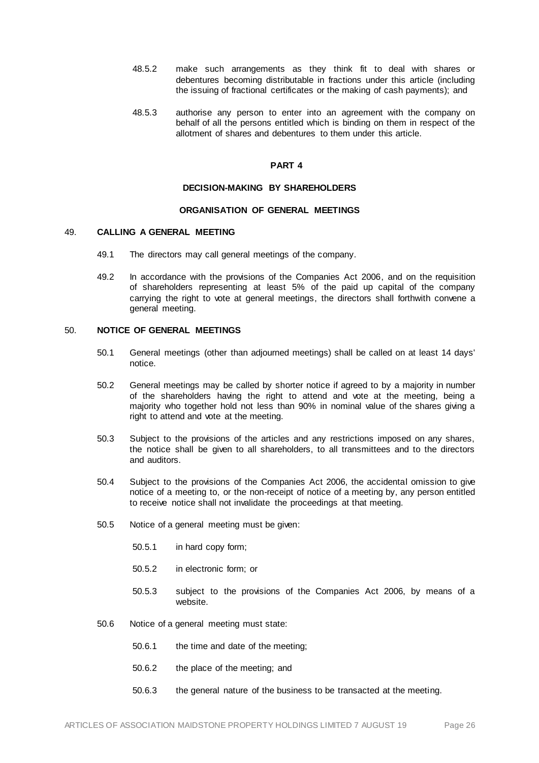- 48.5.2 make such arrangements as they think fit to deal with shares or debentures becoming distributable in fractions under this article (including the issuing of fractional certificates or the making of cash payments); and
- 48.5.3 authorise any person to enter into an agreement with the company on behalf of all the persons entitled which is binding on them in respect of the allotment of shares and debentures to them under this article.

# **PART 4**

#### **DECISION-MAKING BY SHAREHOLDERS**

# **ORGANISATION OF GENERAL MEETINGS**

#### 49. **CALLING A GENERAL MEETING**

- 49.1 The directors may call general meetings of the company.
- 49.2 In accordance with the provisions of the Companies Act 2006, and on the requisition of shareholders representing at least 5% of the paid up capital of the company carrying the right to vote at general meetings, the directors shall forthwith convene a general meeting.

#### 50. **NOTICE OF GENERAL MEETINGS**

- 50.1 General meetings (other than adjourned meetings) shall be called on at least 14 days' notice.
- 50.2 General meetings may be called by shorter notice if agreed to by a majority in number of the shareholders having the right to attend and vote at the meeting, being a majority who together hold not less than 90% in nominal value of the shares giving a right to attend and vote at the meeting.
- 50.3 Subject to the provisions of the articles and any restrictions imposed on any shares, the notice shall be given to all shareholders, to all transmittees and to the directors and auditors.
- 50.4 Subject to the provisions of the Companies Act 2006, the accidental omission to give notice of a meeting to, or the non-receipt of notice of a meeting by, any person entitled to receive notice shall not invalidate the proceedings at that meeting.
- 50.5 Notice of a general meeting must be given:
	- 50.5.1 in hard copy form;
	- 50.5.2 in electronic form; or
	- 50.5.3 subject to the provisions of the Companies Act 2006, by means of a website.
- 50.6 Notice of a general meeting must state:
	- 50.6.1 the time and date of the meeting;
	- 50.6.2 the place of the meeting; and
	- 50.6.3 the general nature of the business to be transacted at the meeting.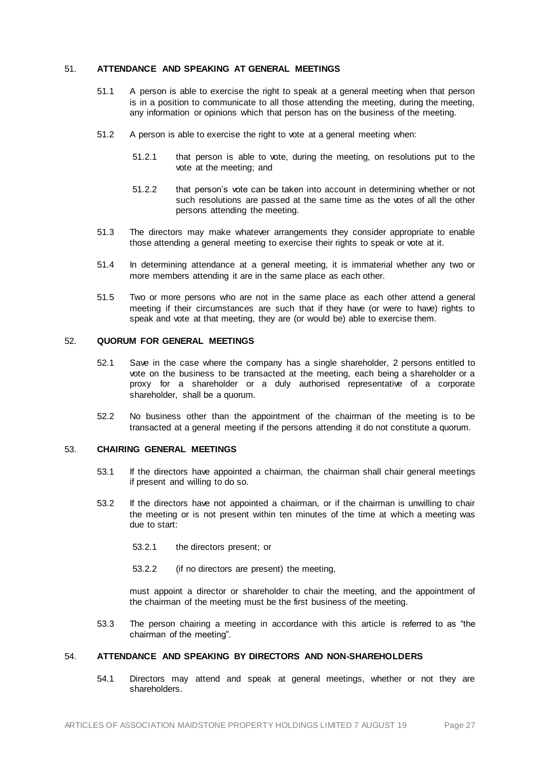#### 51. **ATTENDANCE AND SPEAKING AT GENERAL MEETINGS**

- 51.1 A person is able to exercise the right to speak at a general meeting when that person is in a position to communicate to all those attending the meeting, during the meeting, any information or opinions which that person has on the business of the meeting.
- 51.2 A person is able to exercise the right to vote at a general meeting when:
	- 51.2.1 that person is able to vote, during the meeting, on resolutions put to the vote at the meeting; and
	- 51.2.2 that person's vote can be taken into account in determining whether or not such resolutions are passed at the same time as the votes of all the other persons attending the meeting.
- 51.3 The directors may make whatever arrangements they consider appropriate to enable those attending a general meeting to exercise their rights to speak or vote at it.
- 51.4 In determining attendance at a general meeting, it is immaterial whether any two or more members attending it are in the same place as each other.
- 51.5 Two or more persons who are not in the same place as each other attend a general meeting if their circumstances are such that if they have (or were to have) rights to speak and vote at that meeting, they are (or would be) able to exercise them.

## 52. **QUORUM FOR GENERAL MEETINGS**

- 52.1 Save in the case where the company has a single shareholder, 2 persons entitled to vote on the business to be transacted at the meeting, each being a shareholder or a proxy for a shareholder or a duly authorised representative of a corporate shareholder, shall be a quorum.
- 52.2 No business other than the appointment of the chairman of the meeting is to be transacted at a general meeting if the persons attending it do not constitute a quorum.

## <span id="page-30-0"></span>53. **CHAIRING GENERAL MEETINGS**

- 53.1 If the directors have appointed a chairman, the chairman shall chair general meetings if present and willing to do so.
- 53.2 If the directors have not appointed a chairman, or if the chairman is unwilling to chair the meeting or is not present within ten minutes of the time at which a meeting was due to start:
	- 53.2.1 the directors present; or
	- 53.2.2 (if no directors are present) the meeting,

must appoint a director or shareholder to chair the meeting, and the appointment of the chairman of the meeting must be the first business of the meeting.

53.3 The person chairing a meeting in accordance with this article is referred to as "the chairman of the meeting".

# 54. **ATTENDANCE AND SPEAKING BY DIRECTORS AND NON-SHAREHOLDERS**

54.1 Directors may attend and speak at general meetings, whether or not they are shareholders.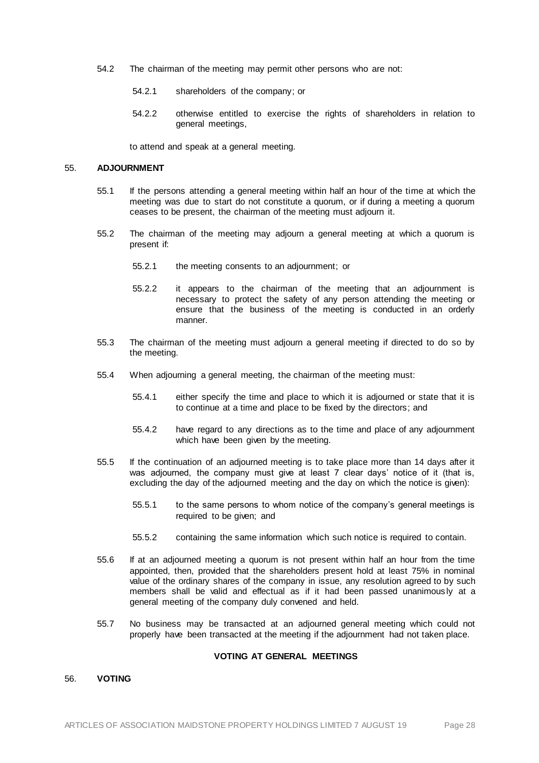- 54.2 The chairman of the meeting may permit other persons who are not:
	- 54.2.1 shareholders of the company; or
	- 54.2.2 otherwise entitled to exercise the rights of shareholders in relation to general meetings,

to attend and speak at a general meeting.

#### 55. **ADJOURNMENT**

- 55.1 If the persons attending a general meeting within half an hour of the time at which the meeting was due to start do not constitute a quorum, or if during a meeting a quorum ceases to be present, the chairman of the meeting must adjourn it.
- 55.2 The chairman of the meeting may adjourn a general meeting at which a quorum is present if:
	- 55.2.1 the meeting consents to an adjournment; or
	- 55.2.2 it appears to the chairman of the meeting that an adjournment is necessary to protect the safety of any person attending the meeting or ensure that the business of the meeting is conducted in an orderly manner.
- 55.3 The chairman of the meeting must adjourn a general meeting if directed to do so by the meeting.
- 55.4 When adjourning a general meeting, the chairman of the meeting must:
	- 55.4.1 either specify the time and place to which it is adjourned or state that it is to continue at a time and place to be fixed by the directors; and
	- 55.4.2 have regard to any directions as to the time and place of any adjournment which have been given by the meeting.
- 55.5 If the continuation of an adjourned meeting is to take place more than 14 days after it was adjourned, the company must give at least 7 clear days' notice of it (that is, excluding the day of the adjourned meeting and the day on which the notice is given):
	- 55.5.1 to the same persons to whom notice of the company's general meetings is required to be given; and
	- 55.5.2 containing the same information which such notice is required to contain.
- 55.6 If at an adjourned meeting a quorum is not present within half an hour from the time appointed, then, provided that the shareholders present hold at least 75% in nominal value of the ordinary shares of the company in issue, any resolution agreed to by such members shall be valid and effectual as if it had been passed unanimous ly at a general meeting of the company duly convened and held.
- 55.7 No business may be transacted at an adjourned general meeting which could not properly have been transacted at the meeting if the adjournment had not taken place.

#### **VOTING AT GENERAL MEETINGS**

#### 56. **VOTING**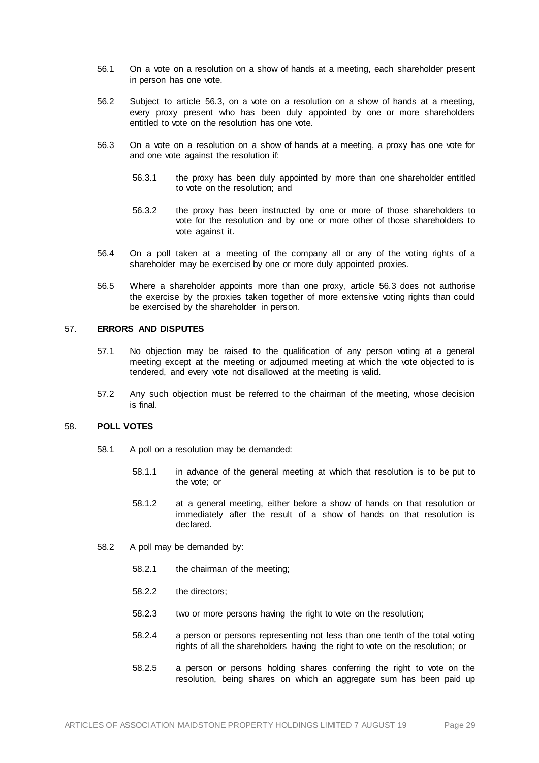- 56.1 On a vote on a resolution on a show of hands at a meeting, each shareholder present in person has one vote.
- 56.2 Subject to articl[e 56.3](#page-32-0), on a vote on a resolution on a show of hands at a meeting, every proxy present who has been duly appointed by one or more shareholders entitled to vote on the resolution has one vote.
- <span id="page-32-0"></span>56.3 On a vote on a resolution on a show of hands at a meeting, a proxy has one vote for and one vote against the resolution if:
	- 56.3.1 the proxy has been duly appointed by more than one shareholder entitled to vote on the resolution; and
	- 56.3.2 the proxy has been instructed by one or more of those shareholders to vote for the resolution and by one or more other of those shareholders to vote against it.
- 56.4 On a poll taken at a meeting of the company all or any of the voting rights of a shareholder may be exercised by one or more duly appointed proxies.
- 56.5 Where a shareholder appoints more than one proxy, articl[e 56.3](#page-32-0) does not authorise the exercise by the proxies taken together of more extensive voting rights than could be exercised by the shareholder in person.

#### 57. **ERRORS AND DISPUTES**

- 57.1 No objection may be raised to the qualification of any person voting at a general meeting except at the meeting or adjourned meeting at which the vote objected to is tendered, and every vote not disallowed at the meeting is valid.
- 57.2 Any such objection must be referred to the chairman of the meeting, whose decision is final.

## 58. **POLL VOTES**

- 58.1 A poll on a resolution may be demanded:
	- 58.1.1 in advance of the general meeting at which that resolution is to be put to the vote; or
	- 58.1.2 at a general meeting, either before a show of hands on that resolution or immediately after the result of a show of hands on that resolution is declared.
- 58.2 A poll may be demanded by:
	- 58.2.1 the chairman of the meeting;
	- 58.2.2 the directors;
	- 58.2.3 two or more persons having the right to vote on the resolution;
	- 58.2.4 a person or persons representing not less than one tenth of the total voting rights of all the shareholders having the right to vote on the resolution; or
	- 58.2.5 a person or persons holding shares conferring the right to vote on the resolution, being shares on which an aggregate sum has been paid up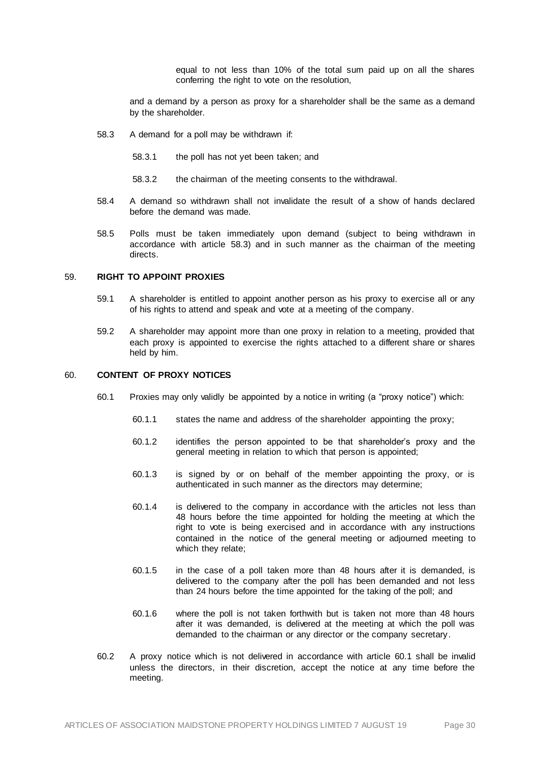equal to not less than 10% of the total sum paid up on all the shares conferring the right to vote on the resolution,

and a demand by a person as proxy for a shareholder shall be the same as a demand by the shareholder.

- <span id="page-33-1"></span>58.3 A demand for a poll may be withdrawn if:
	- 58.3.1 the poll has not yet been taken; and
	- 58.3.2 the chairman of the meeting consents to the withdrawal.
- 58.4 A demand so withdrawn shall not invalidate the result of a show of hands declared before the demand was made.
- 58.5 Polls must be taken immediately upon demand (subject to being withdrawn in accordance with article [58.3\)](#page-33-1) and in such manner as the chairman of the meeting directs.

#### 59. **RIGHT TO APPOINT PROXIES**

- 59.1 A shareholder is entitled to appoint another person as his proxy to exercise all or any of his rights to attend and speak and vote at a meeting of the company.
- 59.2 A shareholder may appoint more than one proxy in relation to a meeting, provided that each proxy is appointed to exercise the rights attached to a different share or shares held by him.

## <span id="page-33-2"></span><span id="page-33-0"></span>60. **CONTENT OF PROXY NOTICES**

- 60.1 Proxies may only validly be appointed by a notice in writing (a "proxy notice") which:
	- 60.1.1 states the name and address of the shareholder appointing the proxy;
	- 60.1.2 identifies the person appointed to be that shareholder's proxy and the general meeting in relation to which that person is appointed;
	- 60.1.3 is signed by or on behalf of the member appointing the proxy, or is authenticated in such manner as the directors may determine;
	- 60.1.4 is delivered to the company in accordance with the articles not less than 48 hours before the time appointed for holding the meeting at which the right to vote is being exercised and in accordance with any instructions contained in the notice of the general meeting or adjourned meeting to which they relate;
	- 60.1.5 in the case of a poll taken more than 48 hours after it is demanded, is delivered to the company after the poll has been demanded and not less than 24 hours before the time appointed for the taking of the poll; and
	- 60.1.6 where the poll is not taken forthwith but is taken not more than 48 hours after it was demanded, is delivered at the meeting at which the poll was demanded to the chairman or any director or the company secretary.
- 60.2 A proxy notice which is not delivered in accordance with articl[e 60.1](#page-33-2) shall be invalid unless the directors, in their discretion, accept the notice at any time before the meeting.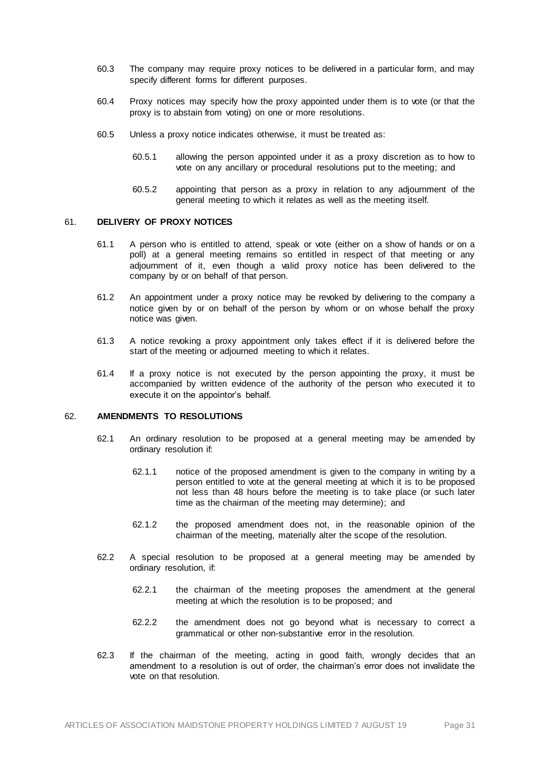- 60.3 The company may require proxy notices to be delivered in a particular form, and may specify different forms for different purposes.
- 60.4 Proxy notices may specify how the proxy appointed under them is to vote (or that the proxy is to abstain from voting) on one or more resolutions.
- 60.5 Unless a proxy notice indicates otherwise, it must be treated as:
	- 60.5.1 allowing the person appointed under it as a proxy discretion as to how to vote on any ancillary or procedural resolutions put to the meeting; and
	- 60.5.2 appointing that person as a proxy in relation to any adjournment of the general meeting to which it relates as well as the meeting itself.

#### 61. **DELIVERY OF PROXY NOTICES**

- 61.1 A person who is entitled to attend, speak or vote (either on a show of hands or on a poll) at a general meeting remains so entitled in respect of that meeting or any adjournment of it, even though a valid proxy notice has been delivered to the company by or on behalf of that person.
- 61.2 An appointment under a proxy notice may be revoked by delivering to the company a notice given by or on behalf of the person by whom or on whose behalf the proxy notice was given.
- 61.3 A notice revoking a proxy appointment only takes effect if it is delivered before the start of the meeting or adjourned meeting to which it relates.
- 61.4 If a proxy notice is not executed by the person appointing the proxy, it must be accompanied by written evidence of the authority of the person who executed it to execute it on the appointor's behalf.

#### 62. **AMENDMENTS TO RESOLUTIONS**

- 62.1 An ordinary resolution to be proposed at a general meeting may be amended by ordinary resolution if:
	- 62.1.1 notice of the proposed amendment is given to the company in writing by a person entitled to vote at the general meeting at which it is to be proposed not less than 48 hours before the meeting is to take place (or such later time as the chairman of the meeting may determine); and
	- 62.1.2 the proposed amendment does not, in the reasonable opinion of the chairman of the meeting, materially alter the scope of the resolution.
- 62.2 A special resolution to be proposed at a general meeting may be amended by ordinary resolution, if:
	- 62.2.1 the chairman of the meeting proposes the amendment at the general meeting at which the resolution is to be proposed; and
	- 62.2.2 the amendment does not go beyond what is necessary to correct a grammatical or other non-substantive error in the resolution.
- 62.3 If the chairman of the meeting, acting in good faith, wrongly decides that an amendment to a resolution is out of order, the chairman's error does not invalidate the vote on that resolution.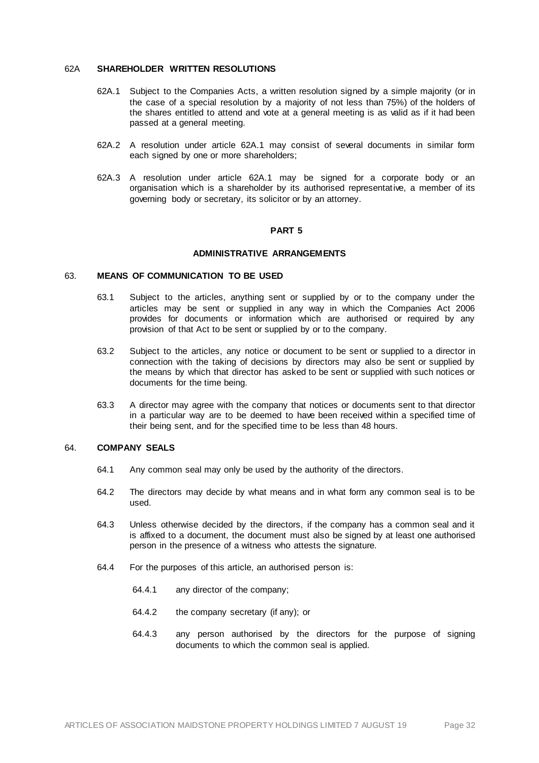#### 62A **SHAREHOLDER WRITTEN RESOLUTIONS**

- 62A.1 Subject to the Companies Acts, a written resolution signed by a simple majority (or in the case of a special resolution by a majority of not less than 75%) of the holders of the shares entitled to attend and vote at a general meeting is as valid as if it had been passed at a general meeting.
- 62A.2 A resolution under article 62A.1 may consist of several documents in similar form each signed by one or more shareholders;
- 62A.3 A resolution under article 62A.1 may be signed for a corporate body or an organisation which is a shareholder by its authorised representative, a member of its governing body or secretary, its solicitor or by an attorney.

#### **PART 5**

# **ADMINISTRATIVE ARRANGEMENTS**

## 63. **MEANS OF COMMUNICATION TO BE USED**

- 63.1 Subject to the articles, anything sent or supplied by or to the company under the articles may be sent or supplied in any way in which the Companies Act 2006 provides for documents or information which are authorised or required by any provision of that Act to be sent or supplied by or to the company.
- 63.2 Subject to the articles, any notice or document to be sent or supplied to a director in connection with the taking of decisions by directors may also be sent or supplied by the means by which that director has asked to be sent or supplied with such notices or documents for the time being.
- 63.3 A director may agree with the company that notices or documents sent to that director in a particular way are to be deemed to have been received within a specified time of their being sent, and for the specified time to be less than 48 hours.

#### 64. **COMPANY SEALS**

- 64.1 Any common seal may only be used by the authority of the directors.
- 64.2 The directors may decide by what means and in what form any common seal is to be used.
- 64.3 Unless otherwise decided by the directors, if the company has a common seal and it is affixed to a document, the document must also be signed by at least one authorised person in the presence of a witness who attests the signature.
- 64.4 For the purposes of this article, an authorised person is:
	- 64.4.1 any director of the company;
	- 64.4.2 the company secretary (if any); or
	- 64.4.3 any person authorised by the directors for the purpose of signing documents to which the common seal is applied.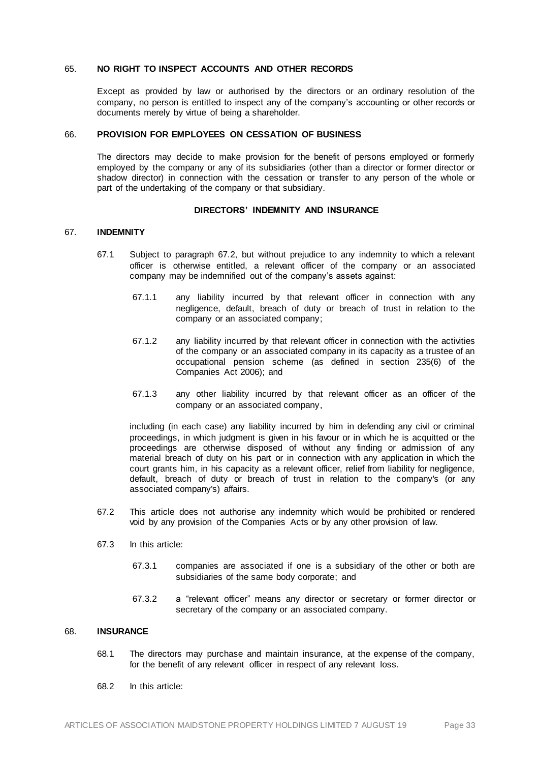#### 65. **NO RIGHT TO INSPECT ACCOUNTS AND OTHER RECORDS**

Except as provided by law or authorised by the directors or an ordinary resolution of the company, no person is entitled to inspect any of the company's accounting or other records or documents merely by virtue of being a shareholder.

#### 66. **PROVISION FOR EMPLOYEES ON CESSATION OF BUSINESS**

The directors may decide to make provision for the benefit of persons employed or formerly employed by the company or any of its subsidiaries (other than a director or former director or shadow director) in connection with the cessation or transfer to any person of the whole or part of the undertaking of the company or that subsidiary.

#### **DIRECTORS' INDEMNITY AND INSURANCE**

#### 67. **INDEMNITY**

- 67.1 Subject to paragraph [67.2,](#page-36-0) but without prejudice to any indemnity to which a relevant officer is otherwise entitled, a relevant officer of the company or an associated company may be indemnified out of the company's assets against:
	- 67.1.1 any liability incurred by that relevant officer in connection with any negligence, default, breach of duty or breach of trust in relation to the company or an associated company;
	- 67.1.2 any liability incurred by that relevant officer in connection with the activities of the company or an associated company in its capacity as a trustee of an occupational pension scheme (as defined in section 235(6) of the Companies Act 2006); and
	- 67.1.3 any other liability incurred by that relevant officer as an officer of the company or an associated company,

including (in each case) any liability incurred by him in defending any civil or criminal proceedings, in which judgment is given in his favour or in which he is acquitted or the proceedings are otherwise disposed of without any finding or admission of any material breach of duty on his part or in connection with any application in which the court grants him, in his capacity as a relevant officer, relief from liability for negligence, default, breach of duty or breach of trust in relation to the company's (or any associated company's) affairs.

- <span id="page-36-0"></span>67.2 This article does not authorise any indemnity which would be prohibited or rendered void by any provision of the Companies Acts or by any other provision of law.
- 67.3 In this article:
	- 67.3.1 companies are associated if one is a subsidiary of the other or both are subsidiaries of the same body corporate; and
	- 67.3.2 a "relevant officer" means any director or secretary or former director or secretary of the company or an associated company.

# 68. **INSURANCE**

- 68.1 The directors may purchase and maintain insurance, at the expense of the company, for the benefit of any relevant officer in respect of any relevant loss.
- 68.2 In this article: